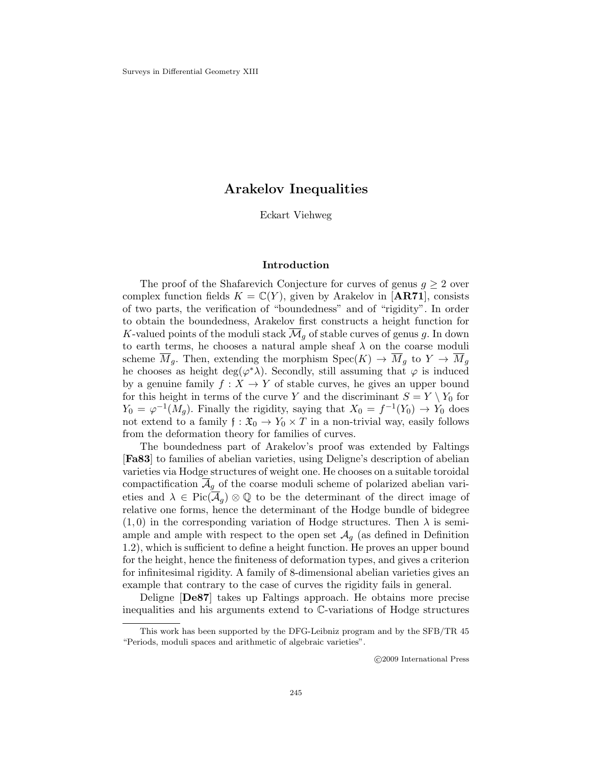# **Arakelov Inequalities**

Eckart Viehweg

# **Introduction**

The proof of the Shafarevich Conjecture for curves of genus  $g \geq 2$  over complex function fields  $K = \mathbb{C}(Y)$ , given by Arakelov in [**AR71**], consists of two parts, the verification of "boundedness" and of "rigidity". In order to obtain the boundedness, Arakelov first constructs a height function for K-valued points of the moduli stack  $\overline{\mathcal{M}}_q$  of stable curves of genus g. In down to earth terms, he chooses a natural ample sheaf  $\lambda$  on the coarse moduli scheme  $\overline{M}_g$ . Then, extending the morphism  $Spec(K) \to \overline{M}_g$  to  $Y \to \overline{M}_g$ he chooses as height deg( $\varphi^*\lambda$ ). Secondly, still assuming that  $\varphi$  is induced by a genuine family  $f: X \to Y$  of stable curves, he gives an upper bound for this height in terms of the curve Y and the discriminant  $S = Y \setminus Y_0$  for  $Y_0 = \varphi^{-1}(M_q)$ . Finally the rigidity, saying that  $X_0 = f^{-1}(Y_0) \to Y_0$  does not extend to a family  $f : \mathfrak{X}_0 \to Y_0 \times T$  in a non-trivial way, easily follows from the deformation theory for families of curves.

The boundedness part of Arakelov's proof was extended by Faltings [**Fa83**] to families of abelian varieties, using Deligne's description of abelian varieties via Hodge structures of weight one. He chooses on a suitable toroidal compactification  $\overline{\mathcal{A}}_g$  of the coarse moduli scheme of polarized abelian varieties and  $\lambda \in Pic(\mathcal{A}_q) \otimes \mathbb{Q}$  to be the determinant of the direct image of relative one forms, hence the determinant of the Hodge bundle of bidegree  $(1,0)$  in the corresponding variation of Hodge structures. Then  $\lambda$  is semiample and ample with respect to the open set  $\mathcal{A}_q$  (as defined in Definition 1.2), which is sufficient to define a height function. He proves an upper bound for the height, hence the finiteness of deformation types, and gives a criterion for infinitesimal rigidity. A family of 8-dimensional abelian varieties gives an example that contrary to the case of curves the rigidity fails in general.

Deligne [**De87**] takes up Faltings approach. He obtains more precise inequalities and his arguments extend to C-variations of Hodge structures

c 2009 International Press

This work has been supported by the DFG-Leibniz program and by the SFB/TR 45 "Periods, moduli spaces and arithmetic of algebraic varieties".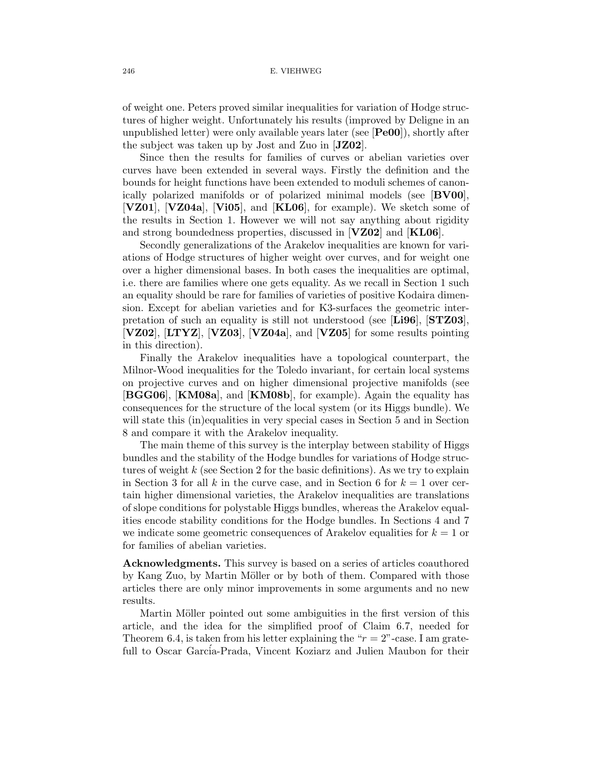of weight one. Peters proved similar inequalities for variation of Hodge structures of higher weight. Unfortunately his results (improved by Deligne in an unpublished letter) were only available years later (see [**Pe00**]), shortly after the subject was taken up by Jost and Zuo in [**JZ02**].

Since then the results for families of curves or abelian varieties over curves have been extended in several ways. Firstly the definition and the bounds for height functions have been extended to moduli schemes of canonically polarized manifolds or of polarized minimal models (see [**BV00**], [**VZ01**], [**VZ04a**], [**Vi05**], and [**KL06**], for example). We sketch some of the results in Section 1. However we will not say anything about rigidity and strong boundedness properties, discussed in [**VZ02**] and [**KL06**].

Secondly generalizations of the Arakelov inequalities are known for variations of Hodge structures of higher weight over curves, and for weight one over a higher dimensional bases. In both cases the inequalities are optimal, i.e. there are families where one gets equality. As we recall in Section 1 such an equality should be rare for families of varieties of positive Kodaira dimension. Except for abelian varieties and for K3-surfaces the geometric interpretation of such an equality is still not understood (see [**Li96**], [**STZ03**], [**VZ02**], [**LTYZ**], [**VZ03**], [**VZ04a**], and [**VZ05**] for some results pointing in this direction).

Finally the Arakelov inequalities have a topological counterpart, the Milnor-Wood inequalities for the Toledo invariant, for certain local systems on projective curves and on higher dimensional projective manifolds (see [**BGG06**], [**KM08a**], and [**KM08b**], for example). Again the equality has consequences for the structure of the local system (or its Higgs bundle). We will state this (in)equalities in very special cases in Section 5 and in Section 8 and compare it with the Arakelov inequality.

The main theme of this survey is the interplay between stability of Higgs bundles and the stability of the Hodge bundles for variations of Hodge structures of weight  $k$  (see Section 2 for the basic definitions). As we try to explain in Section 3 for all k in the curve case, and in Section 6 for  $k = 1$  over certain higher dimensional varieties, the Arakelov inequalities are translations of slope conditions for polystable Higgs bundles, whereas the Arakelov equalities encode stability conditions for the Hodge bundles. In Sections 4 and 7 we indicate some geometric consequences of Arakelov equalities for  $k = 1$  or for families of abelian varieties.

**Acknowledgments.** This survey is based on a series of articles coauthored by Kang Zuo, by Martin Möller or by both of them. Compared with those articles there are only minor improvements in some arguments and no new results.

Martin Möller pointed out some ambiguities in the first version of this article, and the idea for the simplified proof of Claim 6.7, needed for Theorem 6.4, is taken from his letter explaining the " $r = 2$ "-case. I am gratefull to Oscar García-Prada, Vincent Koziarz and Julien Maubon for their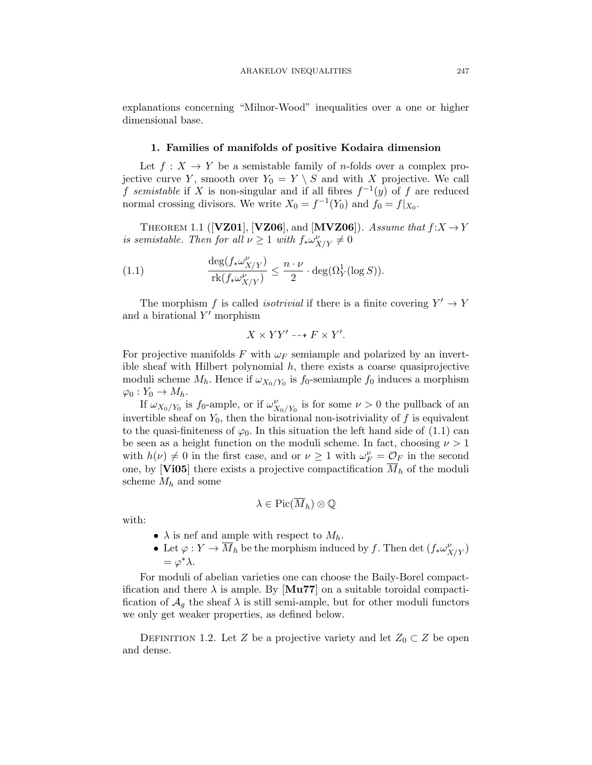explanations concerning "Milnor-Wood" inequalities over a one or higher dimensional base.

### **1. Families of manifolds of positive Kodaira dimension**

Let  $f: X \to Y$  be a semistable family of *n*-folds over a complex projective curve Y, smooth over  $Y_0 = Y \setminus S$  and with X projective. We call f semistable if X is non-singular and if all fibres  $f^{-1}(y)$  of f are reduced normal crossing divisors. We write  $X_0 = f^{-1}(Y_0)$  and  $f_0 = f|_{X_0}$ .

THEOREM 1.1 ( $[**VZ01**], [**VZ06**], and [**MVZ06**]).$  Assume that  $f: X \rightarrow Y$ is semistable. Then for all  $\nu \geq 1$  with  $f_* \omega_{X/Y}^{\nu} \neq 0$ 

(1.1) 
$$
\frac{\deg(f_* \omega^{\nu}_{X/Y})}{\operatorname{rk}(f_* \omega^{\nu}_{X/Y})} \leq \frac{n \cdot \nu}{2} \cdot \deg(\Omega^1_Y(\log S)).
$$

The morphism f is called *isotrivial* if there is a finite covering  $Y' \to Y$ and a birational  $Y'$  morphism

$$
X \times YY' \dashrightarrow F \times Y'.
$$

For projective manifolds F with  $\omega_F$  semiample and polarized by an invertible sheaf with Hilbert polynomial  $h$ , there exists a coarse quasiprojective moduli scheme  $M_h$ . Hence if  $\omega_{X_0/Y_0}$  is  $f_0$ -semiample  $f_0$  induces a morphism  $\varphi_0: Y_0 \to M_h.$ 

If  $\omega_{X_0/Y_0}$  is  $f_0$ -ample, or if  $\omega_{X_0/Y_0}^{\nu}$  is for some  $\nu > 0$  the pullback of an invertible sheaf on  $Y_0$ , then the birational non-isotriviality of f is equivalent to the quasi-finiteness of  $\varphi_0$ . In this situation the left hand side of (1.1) can be seen as a height function on the moduli scheme. In fact, choosing  $\nu > 1$ with  $h(\nu) \neq 0$  in the first case, and or  $\nu \geq 1$  with  $\omega_F^{\nu} = \mathcal{O}_F$  in the second one, by [**Vi05**] there exists a projective compactification  $\overline{M}_h$  of the moduli scheme  $M_h$  and some

$$
\lambda\in \mathrm{Pic}(\overline{M}_h)\otimes \mathbb{Q}
$$

with:

- $\lambda$  is nef and ample with respect to  $M_h$ .
- Let  $\varphi: Y \to \overline{M}_h$  be the morphism induced by f. Then det  $(f_* \omega^{\nu}_{X/Y})$  $=\varphi^*\lambda$ .

For moduli of abelian varieties one can choose the Baily-Borel compactification and there  $\lambda$  is ample. By [Mu77] on a suitable toroidal compactification of  $\mathcal{A}_q$  the sheaf  $\lambda$  is still semi-ample, but for other moduli functors we only get weaker properties, as defined below.

DEFINITION 1.2. Let Z be a projective variety and let  $Z_0 \subset Z$  be open and dense.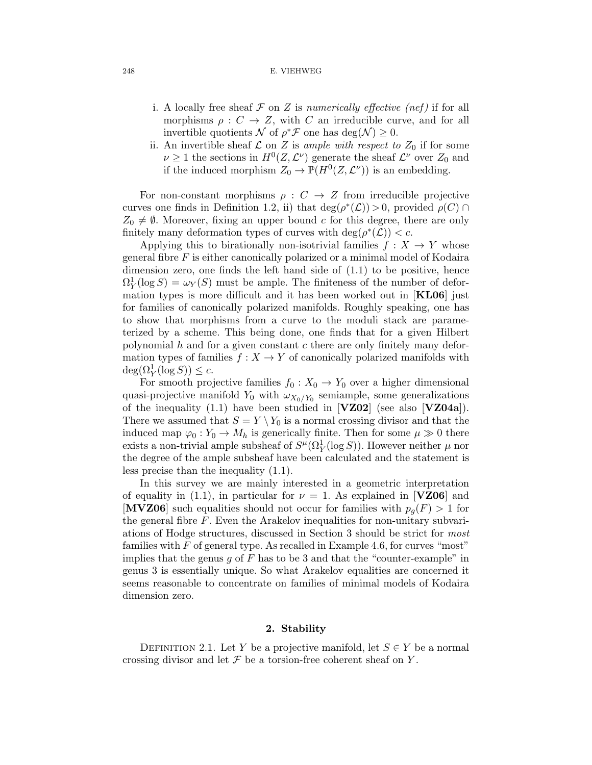#### 248 E. VIEHWEG

- i. A locally free sheaf  $\mathcal F$  on  $Z$  is numerically effective (nef) if for all morphisms  $\rho: C \to Z$ , with C an irreducible curve, and for all invertible quotients N of  $\rho^* \mathcal{F}$  one has  $\deg(\mathcal{N}) \geq 0$ .
- ii. An invertible sheaf  $\mathcal L$  on Z is ample with respect to  $Z_0$  if for some  $\nu \geq 1$  the sections in  $H^0(Z, \mathcal{L}^{\nu})$  generate the sheaf  $\mathcal{L}^{\nu}$  over  $Z_0$  and if the induced morphism  $Z_0 \to \mathbb{P}(H^0(Z,\mathcal{L}^{\nu}))$  is an embedding.

For non-constant morphisms  $\rho: C \to Z$  from irreducible projective curves one finds in Definition 1.2, ii) that  $deg(\rho^*(\mathcal{L})) > 0$ , provided  $\rho(C) \cap$  $Z_0 \neq \emptyset$ . Moreover, fixing an upper bound c for this degree, there are only finitely many deformation types of curves with deg( $\rho^*(\mathcal{L})$ ) < c.

Applying this to birationally non-isotrivial families  $f: X \rightarrow Y$  whose general fibre F is either canonically polarized or a minimal model of Kodaira dimension zero, one finds the left hand side of (1.1) to be positive, hence  $\Omega_Y^1(\log S) = \omega_Y(S)$  must be ample. The finiteness of the number of deformation types is more difficult and it has been worked out in [**KL06**] just for families of canonically polarized manifolds. Roughly speaking, one has to show that morphisms from a curve to the moduli stack are parameterized by a scheme. This being done, one finds that for a given Hilbert polynomial  $h$  and for a given constant  $c$  there are only finitely many deformation types of families  $f: X \to Y$  of canonically polarized manifolds with  $deg(\Omega_Y^1(\log S)) \leq c.$ 

For smooth projective families  $f_0 : X_0 \to Y_0$  over a higher dimensional quasi-projective manifold  $Y_0$  with  $\omega_{X_0/Y_0}$  semiample, some generalizations of the inequality (1.1) have been studied in [**VZ02**] (see also [**VZ04a**]). There we assumed that  $S = Y \ Y_0$  is a normal crossing divisor and that the induced map  $\varphi_0: Y_0 \to M_h$  is generically finite. Then for some  $\mu \gg 0$  there exists a non-trivial ample subsheaf of  $S^{\mu}(\Omega_Y^1(\log S))$ . However neither  $\mu$  nor the degree of the ample subsheaf have been calculated and the statement is less precise than the inequality (1.1).

In this survey we are mainly interested in a geometric interpretation of equality in (1.1), in particular for  $\nu = 1$ . As explained in [**VZ06**] and **[MVZ06**] such equalities should not occur for families with  $p_q(F) > 1$  for the general fibre  $F$ . Even the Arakelov inequalities for non-unitary subvariations of Hodge structures, discussed in Section 3 should be strict for most families with F of general type. As recalled in Example 4.6, for curves "most" implies that the genus  $q$  of  $F$  has to be 3 and that the "counter-example" in genus 3 is essentially unique. So what Arakelov equalities are concerned it seems reasonable to concentrate on families of minimal models of Kodaira dimension zero.

### **2. Stability**

DEFINITION 2.1. Let Y be a projective manifold, let  $S \in Y$  be a normal crossing divisor and let  $\mathcal F$  be a torsion-free coherent sheaf on Y.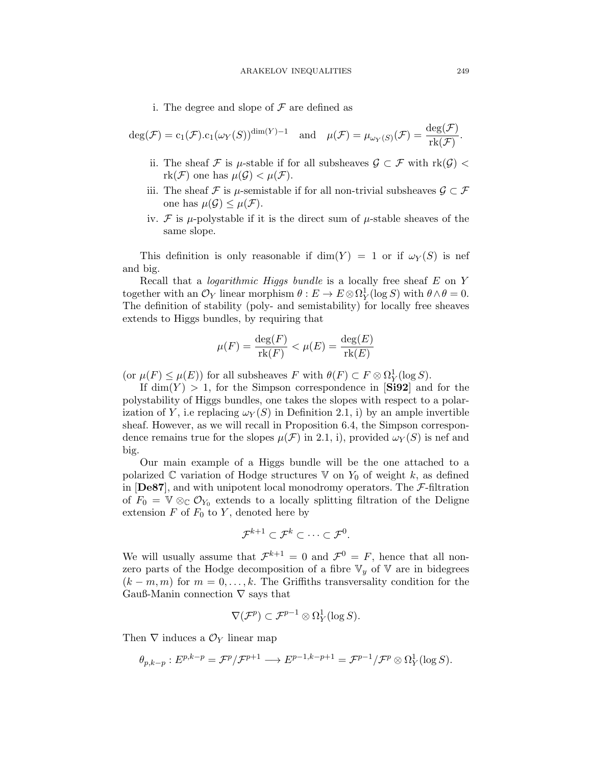i. The degree and slope of  $\mathcal F$  are defined as

$$
\deg(\mathcal{F}) = c_1(\mathcal{F}).c_1(\omega_Y(S))^{\dim(Y)-1} \quad \text{and} \quad \mu(\mathcal{F}) = \mu_{\omega_Y(S)}(\mathcal{F}) = \frac{\deg(\mathcal{F})}{\text{rk}(\mathcal{F})}.
$$

- ii. The sheaf F is  $\mu$ -stable if for all subsheaves  $\mathcal{G} \subset \mathcal{F}$  with  $\text{rk}(\mathcal{G})$  <  $rk(\mathcal{F})$  one has  $\mu(\mathcal{G}) < \mu(\mathcal{F})$ .
- iii. The sheaf  $\mathcal F$  is  $\mu$ -semistable if for all non-trivial subsheaves  $\mathcal G\subset\mathcal F$ one has  $\mu(\mathcal{G}) \leq \mu(\mathcal{F})$ .
- iv. F is  $\mu$ -polystable if it is the direct sum of  $\mu$ -stable sheaves of the same slope.

This definition is only reasonable if  $\dim(Y) = 1$  or if  $\omega_Y(S)$  is nef and big.

Recall that a *logarithmic Higgs bundle* is a locally free sheaf  $E$  on  $Y$ together with an  $\mathcal{O}_Y$  linear morphism  $\theta : E \to E \otimes \Omega^1_Y(\log S)$  with  $\theta \wedge \theta = 0$ . The definition of stability (poly- and semistability) for locally free sheaves extends to Higgs bundles, by requiring that

$$
\mu(F) = \frac{\deg(F)}{\text{rk}(F)} < \mu(E) = \frac{\deg(E)}{\text{rk}(E)}
$$

(or  $\mu(F) \leq \mu(E)$ ) for all subsheaves F with  $\theta(F) \subset F \otimes \Omega_Y^1(\log S)$ .

If  $\dim(Y) > 1$ , for the Simpson correspondence in [**Si92**] and for the polystability of Higgs bundles, one takes the slopes with respect to a polarization of Y, i.e replacing  $\omega_Y(S)$  in Definition 2.1, i) by an ample invertible sheaf. However, as we will recall in Proposition 6.4, the Simpson correspondence remains true for the slopes  $\mu(\mathcal{F})$  in 2.1, i), provided  $\omega_Y(S)$  is nef and big.

Our main example of a Higgs bundle will be the one attached to a polarized  $\mathbb C$  variation of Hodge structures  $\mathbb V$  on  $Y_0$  of weight k, as defined in  $[\text{De87}]$ , and with unipotent local monodromy operators. The  $\mathcal{F}\text{-filtration}$ of  $F_0 = V \otimes_{\mathbb{C}} \mathcal{O}_{Y_0}$  extends to a locally splitting filtration of the Deligne extension  $F$  of  $F_0$  to  $Y$ , denoted here by

$$
\mathcal{F}^{k+1} \subset \mathcal{F}^k \subset \cdots \subset \mathcal{F}^0.
$$

We will usually assume that  $\mathcal{F}^{k+1} = 0$  and  $\mathcal{F}^0 = F$ , hence that all nonzero parts of the Hodge decomposition of a fibre  $\mathbb{V}_y$  of  $\mathbb{V}$  are in bidegrees  $(k - m, m)$  for  $m = 0, \ldots, k$ . The Griffiths transversality condition for the Gauß-Manin connection  $\nabla$  says that

$$
\nabla(\mathcal{F}^p) \subset \mathcal{F}^{p-1} \otimes \Omega^1_Y(\log S).
$$

Then  $\nabla$  induces a  $\mathcal{O}_Y$  linear map

$$
\theta_{p,k-p}: E^{p,k-p} = \mathcal{F}^p / \mathcal{F}^{p+1} \longrightarrow E^{p-1,k-p+1} = \mathcal{F}^{p-1} / \mathcal{F}^p \otimes \Omega^1_Y(\log S).
$$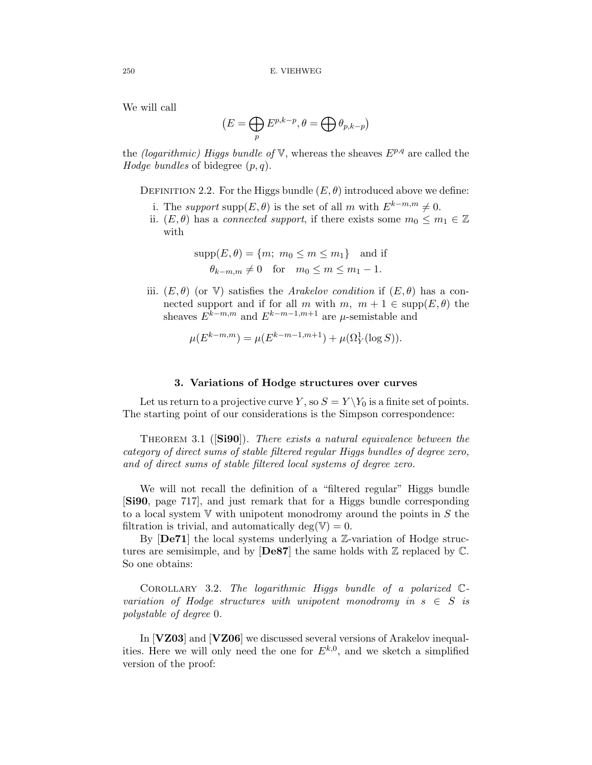We will call

$$
(E = \bigoplus_p E^{p,k-p}, \theta = \bigoplus \theta_{p,k-p})
$$

the *(logarithmic)* Higgs bundle of  $V$ , whereas the sheaves  $E^{p,q}$  are called the Hodge bundles of bidegree  $(p, q)$ .

DEFINITION 2.2. For the Higgs bundle  $(E, \theta)$  introduced above we define:

- i. The support supp $(E, \theta)$  is the set of all m with  $E^{k-m,m} \neq 0$ .
- ii.  $(E, \theta)$  has a connected support, if there exists some  $m_0 \leq m_1 \in \mathbb{Z}$ with

$$
supp(E, \theta) = \{m; m_0 \le m \le m_1\} \text{ and if}
$$
  

$$
\theta_{k-m,m} \neq 0 \text{ for } m_0 \le m \le m_1 - 1.
$$

iii.  $(E, \theta)$  (or V) satisfies the *Arakelov condition* if  $(E, \theta)$  has a connected support and if for all m with m,  $m + 1 \in \text{supp}(E, \theta)$  the sheaves  $E^{k-m,m}$  and  $E^{k-m-1,m+1}$  are  $\mu$ -semistable and

$$
\mu(E^{k-m,m}) = \mu(E^{k-m-1,m+1}) + \mu(\Omega_Y^1(\log S)).
$$

## **3. Variations of Hodge structures over curves**

Let us return to a projective curve Y, so  $S = Y \ Y_0$  is a finite set of points. The starting point of our considerations is the Simpson correspondence:

THEOREM 3.1 (**[Si90**]). There exists a natural equivalence between the category of direct sums of stable filtered regular Higgs bundles of degree zero, and of direct sums of stable filtered local systems of degree zero.

We will not recall the definition of a "filtered regular" Higgs bundle [**Si90**, page 717], and just remark that for a Higgs bundle corresponding to a local system  $V$  with unipotent monodromy around the points in S the filtration is trivial, and automatically deg( $V$ ) = 0.

By [**De71**] the local systems underlying a Z-variation of Hodge structures are semisimple, and by  $[\textbf{De87}]$  the same holds with  $\mathbb{Z}$  replaced by  $\mathbb{C}$ . So one obtains:

COROLLARY 3.2. The logarithmic Higgs bundle of a polarized  $\mathbb{C}$ variation of Hodge structures with unipotent monodromy in  $s \in S$  is polystable of degree 0.

In [**VZ03**] and [**VZ06**] we discussed several versions of Arakelov inequalities. Here we will only need the one for  $E^{k,0}$ , and we sketch a simplified version of the proof: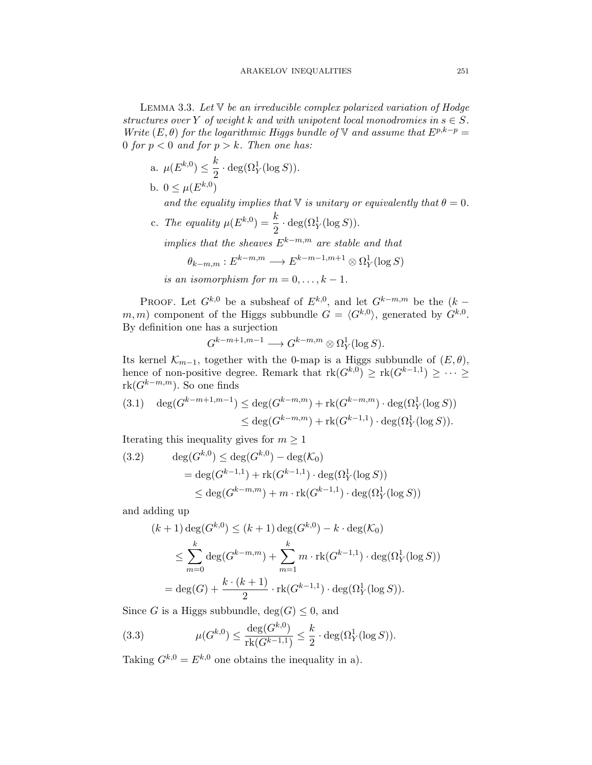LEMMA 3.3. Let  $\nabla$  be an irreducible complex polarized variation of Hodge structures over Y of weight k and with unipotent local monodromies in  $s \in S$ . Write  $(E, \theta)$  for the logarithmic Higgs bundle of V and assume that  $E^{p,k-p} =$ 0 for  $p < 0$  and for  $p > k$ . Then one has:

a. 
$$
\mu(E^{k,0}) \leq \frac{k}{2} \cdot \deg(\Omega_Y^1(\log S)).
$$
  
b.  $0 \leq \mu(E^{k,0})$ 

and the equality implies that  $\mathbb {V}$  is unitary or equivalently that  $\theta = 0$ .

c. The equality  $\mu(E^{k,0}) = \frac{k}{2} \cdot \deg(\Omega_Y^1(\log S)).$ 

implies that the sheaves  $E^{k-m,m}$  are stable and that

$$
\theta_{k-m,m}: E^{k-m,m} \longrightarrow E^{k-m-1,m+1} \otimes \Omega^1_Y(\log S)
$$

is an isomorphism for 
$$
m = 0, \ldots, k - 1
$$
.

PROOF. Let  $G^{k,0}$  be a subsheaf of  $E^{k,0}$ , and let  $G^{k-m,m}$  be the  $(k$ m, m) component of the Higgs subbundle  $G = \langle G^{k,0} \rangle$ , generated by  $G^{k,0}$ . By definition one has a surjection

$$
G^{k-m+1,m-1}\longrightarrow G^{k-m,m}\otimes \Omega^1_Y(\log S).
$$

Its kernel  $\mathcal{K}_{m-1}$ , together with the 0-map is a Higgs subbundle of  $(E,\theta)$ , hence of non-positive degree. Remark that  $rk(G^{k,0}) \geq rk(G^{k-1,1}) \geq \cdots \geq$  $rk(G^{k-m,m})$ . So one finds

$$
(3.1) \quad \deg(G^{k-m+1,m-1}) \le \deg(G^{k-m,m}) + \mathrm{rk}(G^{k-m,m}) \cdot \deg(\Omega_Y^1(\log S))
$$
  

$$
\le \deg(G^{k-m,m}) + \mathrm{rk}(G^{k-1,1}) \cdot \deg(\Omega_Y^1(\log S)).
$$

Iterating this inequality gives for  $m \geq 1$ 

(3.2) 
$$
\deg(G^{k,0}) \le \deg(G^{k,0}) - \deg(\mathcal{K}_0)
$$

$$
= \deg(G^{k-1,1}) + \mathrm{rk}(G^{k-1,1}) \cdot \deg(\Omega_Y^1(\log S))
$$

$$
\le \deg(G^{k-m,m}) + m \cdot \mathrm{rk}(G^{k-1,1}) \cdot \deg(\Omega_Y^1(\log S))
$$

and adding up

$$
(k+1)\deg(G^{k,0}) \le (k+1)\deg(G^{k,0}) - k \cdot \deg(\mathcal{K}_0)
$$
  
\n
$$
\le \sum_{m=0}^k \deg(G^{k-m,m}) + \sum_{m=1}^k m \cdot \text{rk}(G^{k-1,1}) \cdot \deg(\Omega_Y^1(\log S))
$$
  
\n
$$
= \deg(G) + \frac{k \cdot (k+1)}{2} \cdot \text{rk}(G^{k-1,1}) \cdot \deg(\Omega_Y^1(\log S)).
$$

Since G is a Higgs subbundle,  $deg(G) \leq 0$ , and

(3.3) 
$$
\mu(G^{k,0}) \le \frac{\deg(G^{k,0})}{\text{rk}(G^{k-1,1})} \le \frac{k}{2} \cdot \deg(\Omega_Y^1(\log S)).
$$

Taking  $G^{k,0} = E^{k,0}$  one obtains the inequality in a).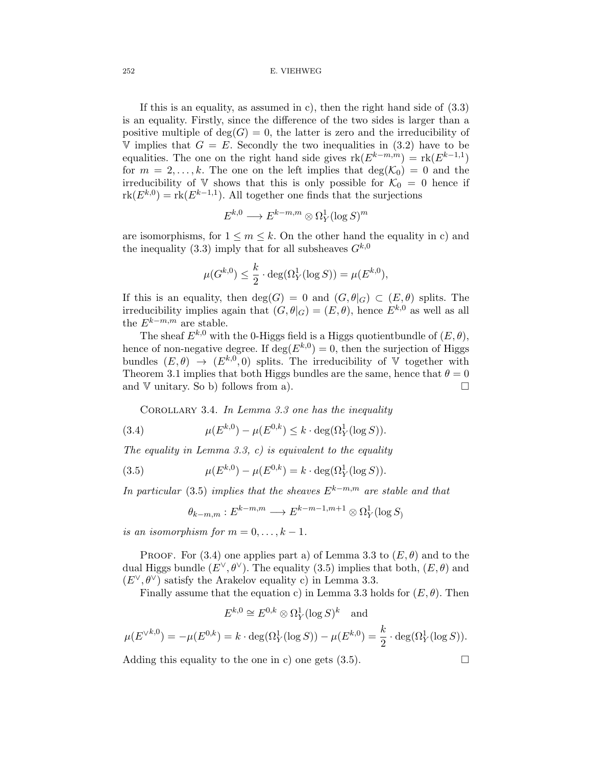#### 252 E. VIEHWEG

If this is an equality, as assumed in c), then the right hand side of  $(3.3)$ is an equality. Firstly, since the difference of the two sides is larger than a positive multiple of  $deg(G) = 0$ , the latter is zero and the irreducibility of V implies that  $G = E$ . Secondly the two inequalities in (3.2) have to be equalities. The one on the right hand side gives  $rk(E^{k-m,m}) = rk(E^{k-1,1})$ for  $m = 2, \ldots, k$ . The one on the left implies that  $deg(K_0) = 0$  and the irreducibility of V shows that this is only possible for  $\mathcal{K}_0 = 0$  hence if  $rk(E^{k,0}) = rk(E^{k-1,1})$ . All together one finds that the surjections

$$
E^{k,0}\longrightarrow E^{k-m,m}\otimes \Omega^1_Y(\log S)^m
$$

are isomorphisms, for  $1 \leq m \leq k$ . On the other hand the equality in c) and the inequality (3.3) imply that for all subsheaves  $G^{k,0}$ 

$$
\mu(G^{k,0}) \le \frac{k}{2} \cdot \deg(\Omega_Y^1(\log S)) = \mu(E^{k,0}),
$$

If this is an equality, then  $deg(G) = 0$  and  $(G, \theta|_G) \subset (E, \theta)$  splits. The irreducibility implies again that  $(G, \theta|_G) = (E, \theta)$ , hence  $E^{k,0}$  as well as all the  ${\cal E}^{k-m,m}$  are stable.

The sheaf  $E^{k,0}$  with the 0-Higgs field is a Higgs quotient bundle of  $(E,\theta)$ , hence of non-negative degree. If  $\deg(E^{k,0}) = 0$ , then the surjection of Higgs bundles  $(E,\theta) \rightarrow (E^{k,0},0)$  splits. The irreducibility of V together with Theorem 3.1 implies that both Higgs bundles are the same, hence that  $\theta = 0$ and  $V$  unitary. So b) follows from a).

COROLLARY 3.4. In Lemma 3.3 one has the inequality

(3.4) 
$$
\mu(E^{k,0}) - \mu(E^{0,k}) \le k \cdot \deg(\Omega_Y^1(\log S)).
$$

The equality in Lemma 3.3, c) is equivalent to the equality

(3.5) 
$$
\mu(E^{k,0}) - \mu(E^{0,k}) = k \cdot \deg(\Omega_Y^1(\log S)).
$$

In particular (3.5) implies that the sheaves  $E^{k-m,m}$  are stable and that

$$
\theta_{k-m,m}: E^{k-m,m} \longrightarrow E^{k-m-1,m+1} \otimes \Omega^1_Y(\log S)
$$

is an isomorphism for  $m = 0, \ldots, k - 1$ .

PROOF. For (3.4) one applies part a) of Lemma 3.3 to  $(E, \theta)$  and to the dual Higgs bundle  $(E^{\vee}, \theta^{\vee})$ . The equality (3.5) implies that both,  $(E, \theta)$  and  $(E^{\vee}, \theta^{\vee})$  satisfy the Arakelov equality c) in Lemma 3.3.

Finally assume that the equation c) in Lemma 3.3 holds for  $(E, \theta)$ . Then

$$
E^{k,0} \cong E^{0,k} \otimes \Omega_Y^1(\log S)^k \quad \text{and}
$$

$$
\mu(E^{\vee k,0}) = -\mu(E^{0,k}) = k \cdot \deg(\Omega_Y^1(\log S)) - \mu(E^{k,0}) = \frac{k}{2} \cdot \deg(\Omega_Y^1(\log S)).
$$

Adding this equality to the one in c) one gets  $(3.5)$ .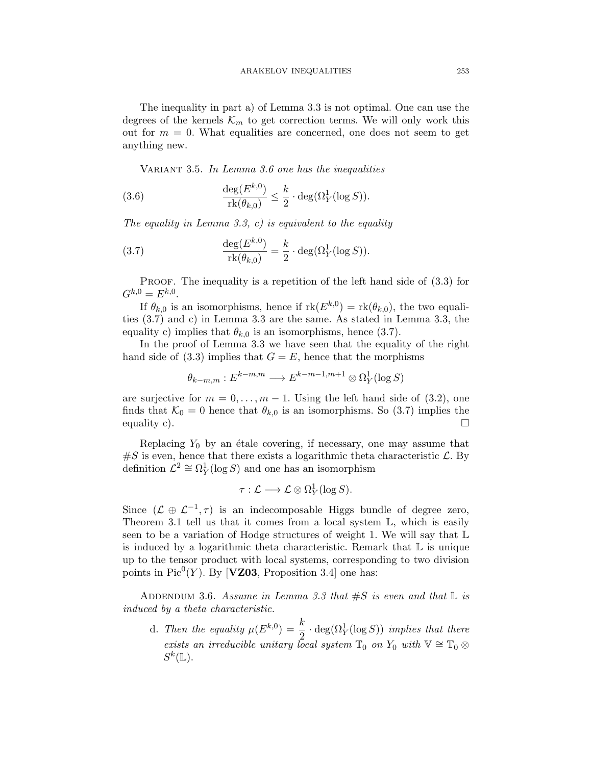The inequality in part a) of Lemma 3.3 is not optimal. One can use the degrees of the kernels  $\mathcal{K}_m$  to get correction terms. We will only work this out for  $m = 0$ . What equalities are concerned, one does not seem to get anything new.

VARIANT 3.5. In Lemma 3.6 one has the inequalities

(3.6) 
$$
\frac{\deg(E^{k,0})}{\text{rk}(\theta_{k,0})} \leq \frac{k}{2} \cdot \deg(\Omega_Y^1(\log S)).
$$

The equality in Lemma 3.3, c) is equivalent to the equality

(3.7) 
$$
\frac{\deg(E^{k,0})}{\text{rk}(\theta_{k,0})} = \frac{k}{2} \cdot \deg(\Omega_Y^1(\log S)).
$$

PROOF. The inequality is a repetition of the left hand side of  $(3.3)$  for  $G^{k,0} = E^{k,0}$ .

If  $\theta_{k,0}$  is an isomorphisms, hence if  $rk(E^{k,0}) = rk(\theta_{k,0})$ , the two equalities (3.7) and c) in Lemma 3.3 are the same. As stated in Lemma 3.3, the equality c) implies that  $\theta_{k,0}$  is an isomorphisms, hence (3.7).

In the proof of Lemma 3.3 we have seen that the equality of the right hand side of (3.3) implies that  $G = E$ , hence that the morphisms

$$
\theta_{k-m,m}: E^{k-m,m} \longrightarrow E^{k-m-1,m+1} \otimes \Omega^1_Y(\log S)
$$

are surjective for  $m = 0, \ldots, m - 1$ . Using the left hand side of (3.2), one finds that  $\mathcal{K}_0 = 0$  hence that  $\theta_{k,0}$  is an isomorphisms. So (3.7) implies the equality c).  $\Box$ 

Replacing  $Y_0$  by an étale covering, if necessary, one may assume that  $\#S$  is even, hence that there exists a logarithmic theta characteristic  $\mathcal{L}$ . By definition  $\mathcal{L}^2 \cong \Omega_Y^1(\log S)$  and one has an isomorphism

$$
\tau: \mathcal{L} \longrightarrow \mathcal{L} \otimes \Omega_Y^1(\log S).
$$

Since  $(L \oplus L^{-1}, \tau)$  is an indecomposable Higgs bundle of degree zero, Theorem 3.1 tell us that it comes from a local system  $\mathbb{L}$ , which is easily seen to be a variation of Hodge structures of weight 1. We will say that  $\mathbb L$ is induced by a logarithmic theta characteristic. Remark that  $\mathbb L$  is unique up to the tensor product with local systems, corresponding to two division points in  $Pic^0(Y)$ . By [**VZ03**, Proposition 3.4] one has:

ADDENDUM 3.6. Assume in Lemma 3.3 that  $\#S$  is even and that  $\mathbb L$  is induced by a theta characteristic.

d. Then the equality  $\mu(E^{k,0}) = \frac{k}{2} \cdot \deg(\Omega_Y^1(\log S))$  implies that there exists an irreducible unitary local system  $\mathbb{T}_0$  on  $Y_0$  with  $\mathbb{V} \cong \mathbb{T}_0 \otimes$  $S^k(\mathbb{L}).$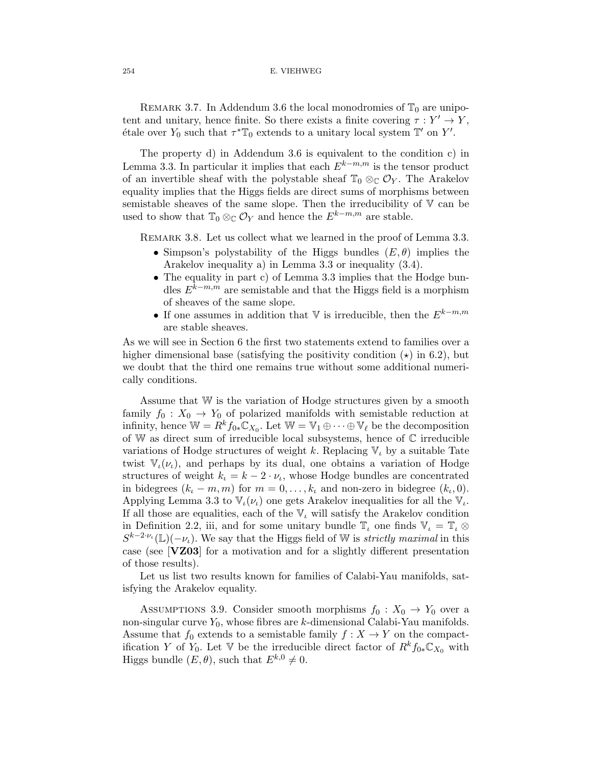#### 254 E. VIEHWEG

REMARK 3.7. In Addendum 3.6 the local monodromies of  $\mathbb{T}_0$  are unipotent and unitary, hence finite. So there exists a finite covering  $\tau : Y' \to Y$ , étale over  $Y_0$  such that  $\tau^* \mathbb{T}_0$  extends to a unitary local system  $\mathbb{T}'$  on  $Y'$ .

The property d) in Addendum 3.6 is equivalent to the condition c) in Lemma 3.3. In particular it implies that each  $E^{k-m,m}$  is the tensor product of an invertible sheaf with the polystable sheaf  $\mathbb{T}_0 \otimes_{\mathbb{C}} \mathcal{O}_Y$ . The Arakelov equality implies that the Higgs fields are direct sums of morphisms between semistable sheaves of the same slope. Then the irreducibility of V can be used to show that  $\mathbb{T}_0 \otimes_{\mathbb{C}} \mathcal{O}_Y$  and hence the  $E^{k-m,m}$  are stable.

REMARK 3.8. Let us collect what we learned in the proof of Lemma 3.3.

- Simpson's polystability of the Higgs bundles  $(E, \theta)$  implies the Arakelov inequality a) in Lemma 3.3 or inequality (3.4).
- The equality in part c) of Lemma 3.3 implies that the Hodge bundles  $E^{k-m,m}$  are semistable and that the Higgs field is a morphism of sheaves of the same slope.
- $\bullet$  If one assumes in addition that  $\mathbb {V}$  is irreducible, then the  $E^{k-m,m}$ are stable sheaves.

As we will see in Section 6 the first two statements extend to families over a higher dimensional base (satisfying the positivity condition  $(\star)$  in 6.2), but we doubt that the third one remains true without some additional numerically conditions.

Assume that W is the variation of Hodge structures given by a smooth family  $f_0 : X_0 \to Y_0$  of polarized manifolds with semistable reduction at infinity, hence  $\mathbb{W} = R^k f_{0*} \mathbb{C}_{X_0}$ . Let  $\mathbb{W} = \mathbb{V}_1 \oplus \cdots \oplus \mathbb{V}_{\ell}$  be the decomposition of W as direct sum of irreducible local subsystems, hence of C irreducible variations of Hodge structures of weight k. Replacing  $V_l$  by a suitable Tate twist  $V_{\iota}(\nu_{\iota})$ , and perhaps by its dual, one obtains a variation of Hodge structures of weight  $k_1 = k - 2 \cdot \nu_i$ , whose Hodge bundles are concentrated in bidegrees  $(k_{\iota} - m, m)$  for  $m = 0, \ldots, k_{\iota}$  and non-zero in bidegree  $(k_{\iota}, 0)$ . Applying Lemma 3.3 to  $\mathbb{V}_{\iota}(\nu_{\iota})$  one gets Arakelov inequalities for all the  $\mathbb{V}_{\iota}$ . If all those are equalities, each of the  $V_l$  will satisfy the Arakelov condition in Definition 2.2, iii, and for some unitary bundle  $\mathbb{T}_t$  one finds  $\mathbb{V}_t = \mathbb{T}_t \otimes$  $S^{k-2\nu_{\iota}}(\mathbb{L})(-\nu_{\iota}).$  We say that the Higgs field of W is *strictly maximal* in this case (see [**VZ03**] for a motivation and for a slightly different presentation of those results).

Let us list two results known for families of Calabi-Yau manifolds, satisfying the Arakelov equality.

ASSUMPTIONS 3.9. Consider smooth morphisms  $f_0 : X_0 \to Y_0$  over a non-singular curve  $Y_0$ , whose fibres are k-dimensional Calabi-Yau manifolds. Assume that  $f_0$  extends to a semistable family  $f : X \to Y$  on the compactification Y of Y<sub>0</sub>. Let V be the irreducible direct factor of  $R^k f_{0*} \mathbb{C}_{X_0}$  with Higgs bundle  $(E, \theta)$ , such that  $E^{k,0} \neq 0$ .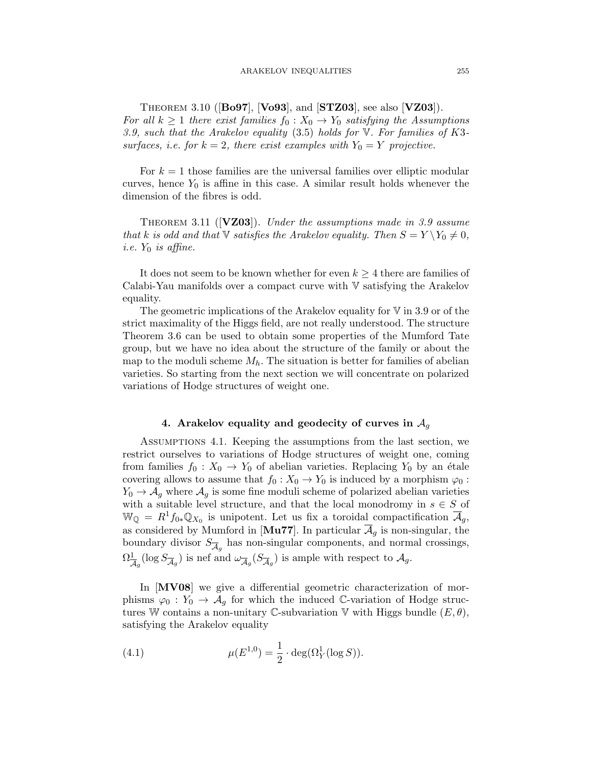Theorem 3.10 ([**Bo97**], [**Vo93**], and [**STZ03**], see also [**VZ03**]). For all  $k \geq 1$  there exist families  $f_0: X_0 \to Y_0$  satisfying the Assumptions 3.9, such that the Arakelov equality  $(3.5)$  holds for  $V$ . For families of K3surfaces, i.e. for  $k = 2$ , there exist examples with  $Y_0 = Y$  projective.

For  $k = 1$  those families are the universal families over elliptic modular curves, hence  $Y_0$  is affine in this case. A similar result holds whenever the dimension of the fibres is odd.

THEOREM 3.11 ( $[**VZ03**]$ ). Under the assumptions made in 3.9 assume that k is odd and that V satisfies the Arakelov equality. Then  $S = Y \ Y_0 \neq 0$ , i.e.  $Y_0$  is affine.

It does not seem to be known whether for even  $k \geq 4$  there are families of Calabi-Yau manifolds over a compact curve with V satisfying the Arakelov equality.

The geometric implications of the Arakelov equality for  $V$  in 3.9 or of the strict maximality of the Higgs field, are not really understood. The structure Theorem 3.6 can be used to obtain some properties of the Mumford Tate group, but we have no idea about the structure of the family or about the map to the moduli scheme  $M_h$ . The situation is better for families of abelian varieties. So starting from the next section we will concentrate on polarized variations of Hodge structures of weight one.

# **4. Arakelov equality and geodecity of curves in** A<sup>g</sup>

Assumptions 4.1. Keeping the assumptions from the last section, we restrict ourselves to variations of Hodge structures of weight one, coming from families  $f_0 : X_0 \to Y_0$  of abelian varieties. Replacing  $Y_0$  by an étale covering allows to assume that  $f_0 : X_0 \to Y_0$  is induced by a morphism  $\varphi_0$ :  $Y_0 \rightarrow A_g$  where  $A_g$  is some fine moduli scheme of polarized abelian varieties with a suitable level structure, and that the local monodromy in  $s \in S$  of  $\mathbb{W}_{\mathbb{Q}} = R^1 f_{0*} \mathbb{Q}_{X_0}$  is unipotent. Let us fix a toroidal compactification  $\mathcal{A}_g$ , as considered by Mumford in [ $\text{Mu77}$ ]. In particular  $\mathcal{A}_g$  is non-singular, the boundary divisor  $S_{\overline{\mathcal{A}}_q}$  has non-singular components, and normal crossings,  $\Omega^1_{\overline{\mathcal{A}}_g}(\log S_{\overline{\mathcal{A}}_g})$  is nef and  $\omega_{\overline{\mathcal{A}}_g}(S_{\overline{\mathcal{A}}_g})$  is ample with respect to  $\mathcal{A}_g$ .

In [**MV08**] we give a differential geometric characterization of morphisms  $\varphi_0 : Y_0 \to A_q$  for which the induced C-variation of Hodge structures W contains a non-unitary C-subvariation V with Higgs bundle  $(E, \theta)$ , satisfying the Arakelov equality

(4.1) 
$$
\mu(E^{1,0}) = \frac{1}{2} \cdot \deg(\Omega_Y^1(\log S)).
$$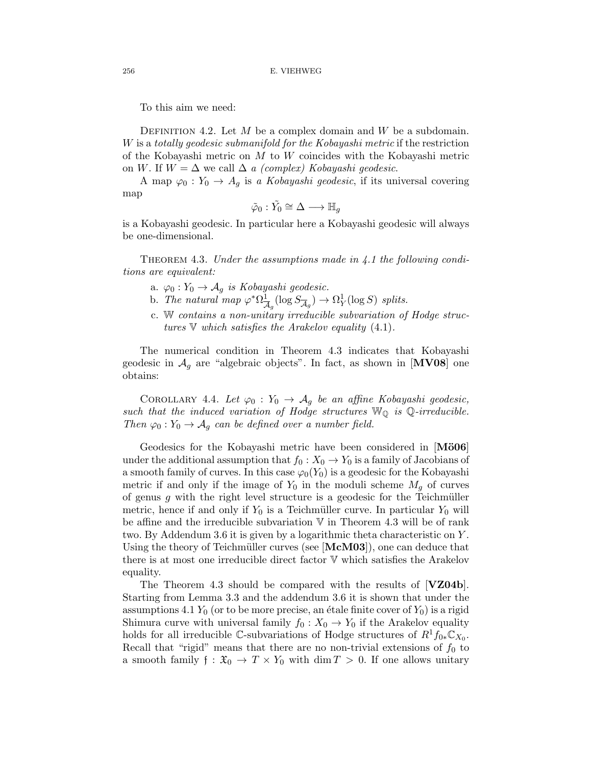To this aim we need:

DEFINITION 4.2. Let  $M$  be a complex domain and  $W$  be a subdomain. W is a totally geodesic submanifold for the Kobayashi metric if the restriction of the Kobayashi metric on  $M$  to  $W$  coincides with the Kobayashi metric on W. If  $W = \Delta$  we call  $\Delta a$  *(complex) Kobayashi geodesic.* 

A map  $\varphi_0: Y_0 \to A_g$  is a *Kobayashi geodesic*, if its universal covering map

$$
\tilde{\varphi}_0:\tilde{Y_0}\cong\Delta\longrightarrow\mathbb{H}_g
$$

is a Kobayashi geodesic. In particular here a Kobayashi geodesic will always be one-dimensional.

THEOREM 4.3. Under the assumptions made in 4.1 the following conditions are equivalent:

- a.  $\varphi_0: Y_0 \to \mathcal{A}_q$  is Kobayashi geodesic.
- b. The natural map  $\varphi^* \Omega^1_{\overline{\mathcal{A}}_g}(\log S_{\overline{\mathcal{A}}_g}) \to \Omega^1_Y(\log S)$  splits.
- c. W contains a non-unitary irreducible subvariation of Hodge structures  $\nabla$  which satisfies the Arakelov equality (4.1).

The numerical condition in Theorem 4.3 indicates that Kobayashi geodesic in  $\mathcal{A}_g$  are "algebraic objects". In fact, as shown in [**MV08**] one obtains:

COROLLARY 4.4. Let  $\varphi_0: Y_0 \to A_g$  be an affine Kobayashi geodesic, such that the induced variation of Hodge structures  $\mathbb{W}_{\mathbb{Q}}$  is  $\mathbb{Q}\text{-irreducible.}$ Then  $\varphi_0: Y_0 \to A_g$  can be defined over a number field.

Geodesics for the Kobayashi metric have been considered in [**M¨o06**] under the additional assumption that  $f_0 : X_0 \to Y_0$  is a family of Jacobians of a smooth family of curves. In this case  $\varphi_0(Y_0)$  is a geodesic for the Kobayashi metric if and only if the image of  $Y_0$  in the moduli scheme  $M_g$  of curves of genus  $g$  with the right level structure is a geodesic for the Teichmüller metric, hence if and only if  $Y_0$  is a Teichmüller curve. In particular  $Y_0$  will be affine and the irreducible subvariation  $V$  in Theorem 4.3 will be of rank two. By Addendum 3.6 it is given by a logarithmic theta characteristic on Y . Using the theory of Teichmüller curves (see [McM03]), one can deduce that there is at most one irreducible direct factor V which satisfies the Arakelov equality.

The Theorem 4.3 should be compared with the results of [**VZ04b**]. Starting from Lemma 3.3 and the addendum 3.6 it is shown that under the assumptions 4.1  $Y_0$  (or to be more precise, an étale finite cover of  $Y_0$ ) is a rigid Shimura curve with universal family  $f_0 : X_0 \to Y_0$  if the Arakelov equality holds for all irreducible C-subvariations of Hodge structures of  $R^1f_{0*}\mathbb{C}_{X_0}$ . Recall that "rigid" means that there are no non-trivial extensions of  $f_0$  to a smooth family  $f: \mathfrak{X}_0 \to T \times Y_0$  with  $\dim T > 0$ . If one allows unitary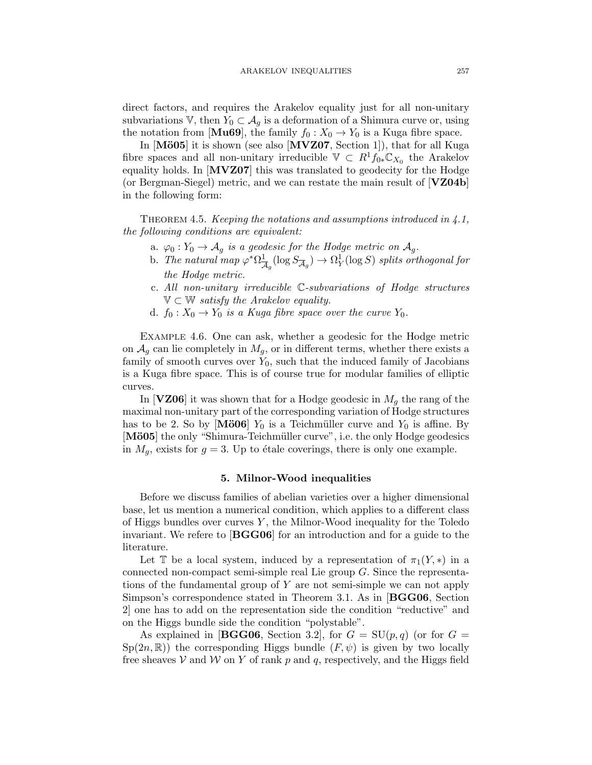direct factors, and requires the Arakelov equality just for all non-unitary subvariations V, then  $Y_0 \subset A_g$  is a deformation of a Shimura curve or, using the notation from [**Mu69**], the family  $f_0: X_0 \to Y_0$  is a Kuga fibre space.

In [Mö05] it is shown (see also [MVZ07, Section 1]), that for all Kuga fibre spaces and all non-unitary irreducible  $\mathbb{V} \subset R^1 f_{0*} \mathbb{C}_{X_0}$  the Arakelov equality holds. In [**MVZ07**] this was translated to geodecity for the Hodge (or Bergman-Siegel) metric, and we can restate the main result of [**VZ04b**] in the following form:

THEOREM 4.5. *Keeping the notations and assumptions introduced in*  $\angle 1$ *,* the following conditions are equivalent:

- a.  $\varphi_0: Y_0 \to \mathcal{A}_g$  is a geodesic for the Hodge metric on  $\mathcal{A}_g$ .
- b. The natural map  $\varphi^*\Omega^1_{\overline{\mathcal{A}}_g}(\log S_{\overline{\mathcal{A}}_g}) \to \Omega^1_Y(\log S)$  splits orthogonal for the Hodge metric.
- c. All non-unitary irreducible C-subvariations of Hodge structures  $\mathbb{V} \subset \mathbb{W}$  satisfy the Arakelov equality.
- d.  $f_0: X_0 \to Y_0$  is a Kuga fibre space over the curve  $Y_0$ .

Example 4.6. One can ask, whether a geodesic for the Hodge metric on  $A_g$  can lie completely in  $M_g$ , or in different terms, whether there exists a family of smooth curves over  $Y_0$ , such that the induced family of Jacobians is a Kuga fibre space. This is of course true for modular families of elliptic curves.

In [**VZ06**] it was shown that for a Hodge geodesic in  $M<sub>g</sub>$  the rang of the maximal non-unitary part of the corresponding variation of Hodge structures has to be 2. So by [Mö06]  $Y_0$  is a Teichmüller curve and  $Y_0$  is affine. By [Mö05] the only "Shimura-Teichmüller curve", i.e. the only Hodge geodesics in  $M_g$ , exists for  $g = 3$ . Up to étale coverings, there is only one example.

## **5. Milnor-Wood inequalities**

Before we discuss families of abelian varieties over a higher dimensional base, let us mention a numerical condition, which applies to a different class of Higgs bundles over curves  $Y$ , the Milnor-Wood inequality for the Toledo invariant. We refere to [**BGG06**] for an introduction and for a guide to the literature.

Let T be a local system, induced by a representation of  $\pi_1(Y, *)$  in a connected non-compact semi-simple real Lie group G. Since the representations of the fundamental group of Y are not semi-simple we can not apply Simpson's correspondence stated in Theorem 3.1. As in [**BGG06**, Section 2] one has to add on the representation side the condition "reductive" and on the Higgs bundle side the condition "polystable".

As explained in **[BGG06**, Section 3.2], for  $G = SU(p,q)$  (or for  $G =$  $Sp(2n,\mathbb{R})$  the corresponding Higgs bundle  $(F,\psi)$  is given by two locally free sheaves V and W on Y of rank p and q, respectively, and the Higgs field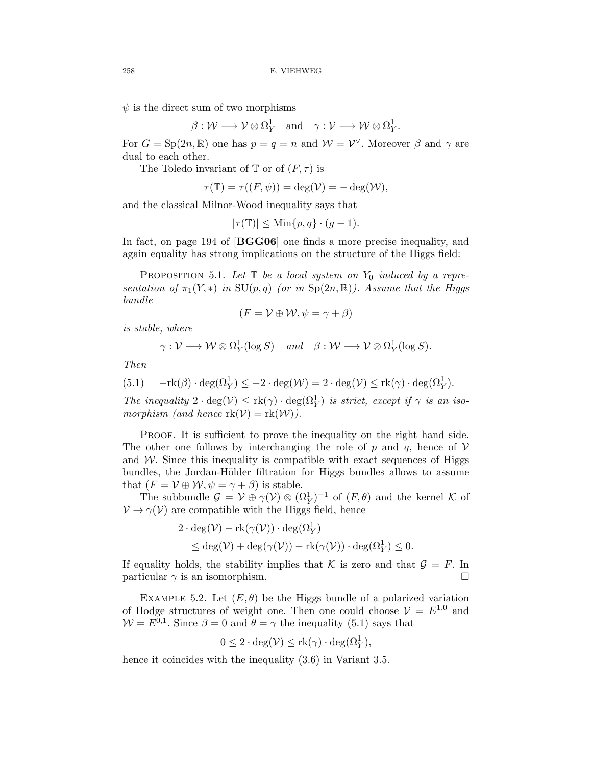$\psi$  is the direct sum of two morphisms

$$
\beta: \mathcal{W} \longrightarrow \mathcal{V} \otimes \Omega_Y^1 \quad \text{and} \quad \gamma: \mathcal{V} \longrightarrow \mathcal{W} \otimes \Omega_Y^1.
$$

For  $G = Sp(2n, \mathbb{R})$  one has  $p = q = n$  and  $\mathcal{W} = \mathcal{V}^{\vee}$ . Moreover  $\beta$  and  $\gamma$  are dual to each other.

The Toledo invariant of  $\mathbb T$  or of  $(F, \tau)$  is

$$
\tau(\mathbb{T}) = \tau((F,\psi)) = \deg(\mathcal{V}) = -\deg(\mathcal{W}),
$$

and the classical Milnor-Wood inequality says that

$$
|\tau(\mathbb{T})| \le \text{Min}\{p, q\} \cdot (g - 1).
$$

In fact, on page 194 of [**BGG06**] one finds a more precise inequality, and again equality has strong implications on the structure of the Higgs field:

PROPOSITION 5.1. Let  $\mathbb T$  be a local system on  $Y_0$  induced by a representation of  $\pi_1(Y, *)$  in  $SU(p,q)$  (or in  $Sp(2n,\mathbb{R})$ ). Assume that the Higgs bundle

$$
(F = \mathcal{V} \oplus \mathcal{W}, \psi = \gamma + \beta)
$$

is stable, where

$$
\gamma: \mathcal{V} \longrightarrow \mathcal{W} \otimes \Omega^1_Y(\log S) \quad and \quad \beta: \mathcal{W} \longrightarrow \mathcal{V} \otimes \Omega^1_Y(\log S).
$$

Then

(5.1) 
$$
-\mathrm{rk}(\beta) \cdot \deg(\Omega^1_Y) \le -2 \cdot \deg(\mathcal{W}) = 2 \cdot \deg(\mathcal{V}) \le \mathrm{rk}(\gamma) \cdot \deg(\Omega^1_Y).
$$

The inequality  $2 \cdot \deg(V) \leq \text{rk}(\gamma) \cdot \deg(\Omega_Y^1)$  is strict, except if  $\gamma$  is an isomorphism (and hence  $\text{rk}(\mathcal{V}) = \text{rk}(\mathcal{W})$ ).

PROOF. It is sufficient to prove the inequality on the right hand side. The other one follows by interchanging the role of p and q, hence of  $\mathcal V$ and  $W$ . Since this inequality is compatible with exact sequences of Higgs bundles, the Jordan-Hölder filtration for Higgs bundles allows to assume that  $(F = V \oplus W, \psi = \gamma + \beta)$  is stable.

The subbundle  $\mathcal{G} = \mathcal{V} \oplus \gamma(\mathcal{V}) \otimes (\Omega_Y^1)^{-1}$  of  $(F, \theta)$  and the kernel K of  $\mathcal{V} \rightarrow \gamma(\mathcal{V})$  are compatible with the Higgs field, hence

$$
2 \cdot \deg(\mathcal{V}) - \mathrm{rk}(\gamma(\mathcal{V})) \cdot \deg(\Omega^1_Y)
$$
  
\$\leq \deg(\mathcal{V}) + \deg(\gamma(\mathcal{V})) - \mathrm{rk}(\gamma(\mathcal{V})) \cdot \deg(\Omega^1\_Y) \leq 0\$.

If equality holds, the stability implies that K is zero and that  $\mathcal{G} = F$ . In particular  $\gamma$  is an isomorphism.

EXAMPLE 5.2. Let  $(E, \theta)$  be the Higgs bundle of a polarized variation of Hodge structures of weight one. Then one could choose  $\mathcal{V} = E^{1,0}$  and  $W = E^{0,1}$ . Since  $\beta = 0$  and  $\theta = \gamma$  the inequality (5.1) says that

$$
0 \le 2 \cdot \deg(\mathcal{V}) \le \mathrm{rk}(\gamma) \cdot \deg(\Omega^1_Y),
$$

hence it coincides with the inequality  $(3.6)$  in Variant 3.5.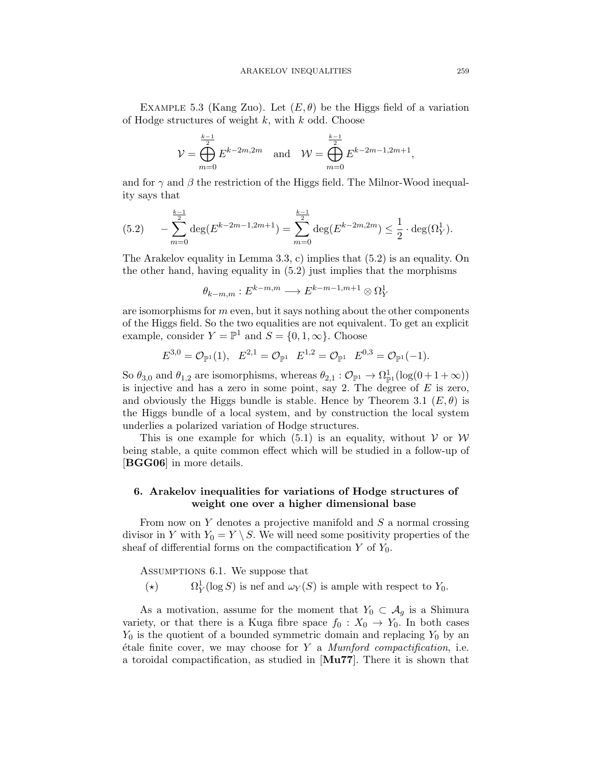EXAMPLE 5.3 (Kang Zuo). Let  $(E, \theta)$  be the Higgs field of a variation of Hodge structures of weight  $k$ , with  $k$  odd. Choose

$$
\mathcal{V} = \bigoplus_{m=0}^{\frac{k-1}{2}} E^{k-2m, 2m} \quad \text{and} \quad \mathcal{W} = \bigoplus_{m=0}^{\frac{k-1}{2}} E^{k-2m-1, 2m+1},
$$

and for  $\gamma$  and  $\beta$  the restriction of the Higgs field. The Milnor-Wood inequality says that

$$
(5.2) \qquad -\sum_{m=0}^{\frac{k-1}{2}} \deg(E^{k-2m-1,2m+1}) = \sum_{m=0}^{\frac{k-1}{2}} \deg(E^{k-2m,2m}) \le \frac{1}{2} \cdot \deg(\Omega_Y^1).
$$

The Arakelov equality in Lemma 3.3, c) implies that  $(5.2)$  is an equality. On the other hand, having equality in (5.2) just implies that the morphisms

$$
\theta_{k-m,m}: E^{k-m,m} \longrightarrow E^{k-m-1,m+1} \otimes \Omega^1_Y
$$

are isomorphisms for  $m$  even, but it says nothing about the other components of the Higgs field. So the two equalities are not equivalent. To get an explicit example, consider  $Y = \mathbb{P}^1$  and  $S = \{0, 1, \infty\}$ . Choose

$$
E^{3,0} = \mathcal{O}_{\mathbb{P}^1}(1), \quad E^{2,1} = \mathcal{O}_{\mathbb{P}^1} \quad E^{1,2} = \mathcal{O}_{\mathbb{P}^1} \quad E^{0,3} = \mathcal{O}_{\mathbb{P}^1}(-1).
$$

So  $\theta_{3,0}$  and  $\theta_{1,2}$  are isomorphisms, whereas  $\theta_{2,1} : \mathcal{O}_{\mathbb{P}^1} \to \Omega_{\mathbb{P}^1}^1(\log(0+1+\infty))$ is injective and has a zero in some point, say 2. The degree of  $E$  is zero, and obviously the Higgs bundle is stable. Hence by Theorem 3.1  $(E, \theta)$  is the Higgs bundle of a local system, and by construction the local system underlies a polarized variation of Hodge structures.

This is one example for which (5.1) is an equality, without  $V$  or  $W$ being stable, a quite common effect which will be studied in a follow-up of [**BGG06**] in more details.

# **6. Arakelov inequalities for variations of Hodge structures of weight one over a higher dimensional base**

From now on  $Y$  denotes a projective manifold and  $S$  a normal crossing divisor in Y with  $Y_0 = Y \setminus S$ . We will need some positivity properties of the sheaf of differential forms on the compactification  $Y$  of  $Y_0$ .

Assumptions 6.1. We suppose that

 $(\star)$  $\Omega^1_V(\log S)$  is nef and  $\omega_Y(S)$  is ample with respect to  $Y_0$ .

As a motivation, assume for the moment that  $Y_0 \subset A_q$  is a Shimura variety, or that there is a Kuga fibre space  $f_0 : X_0 \to Y_0$ . In both cases  $Y_0$  is the quotient of a bounded symmetric domain and replacing  $Y_0$  by an  $\acute{e}$ tale finite cover, we may choose for Y a Mumford compactification, i.e. a toroidal compactification, as studied in [**Mu77**]. There it is shown that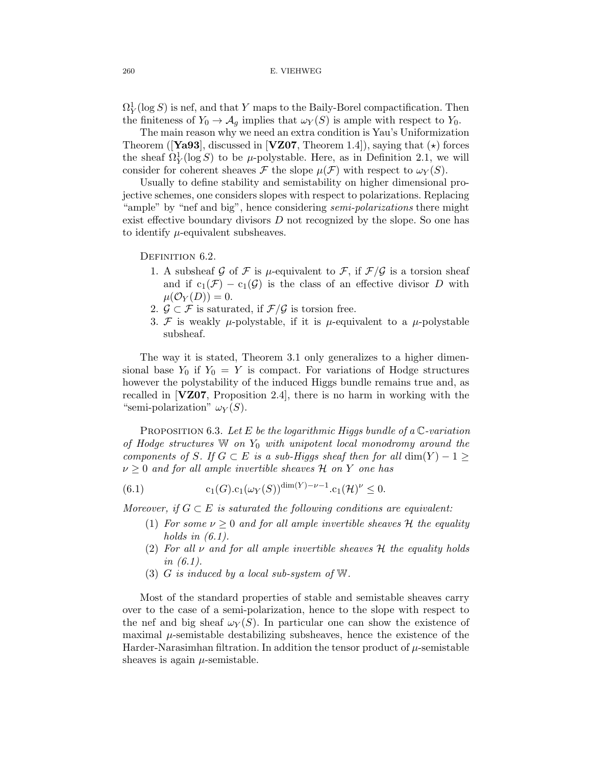$\Omega^1_Y(\log S)$  is nef, and that Y maps to the Baily-Borel compactification. Then the finiteness of  $Y_0 \to \mathcal{A}_g$  implies that  $\omega_Y(S)$  is ample with respect to  $Y_0$ .

The main reason why we need an extra condition is Yau's Uniformization Theorem (**[Ya93**], discussed in **[VZ07**, Theorem 1.4]), saying that  $(\star)$  forces the sheaf  $\Omega_Y^1(\log S)$  to be  $\mu$ -polystable. Here, as in Definition 2.1, we will consider for coherent sheaves F the slope  $\mu(\mathcal{F})$  with respect to  $\omega_Y(S)$ .

Usually to define stability and semistability on higher dimensional projective schemes, one considers slopes with respect to polarizations. Replacing "ample" by "nef and big", hence considering *semi-polarizations* there might exist effective boundary divisors  $D$  not recognized by the slope. So one has to identify  $\mu$ -equivalent subsheaves.

DEFINITION 6.2.

- 1. A subsheaf G of F is  $\mu$ -equivalent to F, if  $\mathcal{F}/\mathcal{G}$  is a torsion sheaf and if  $c_1(\mathcal{F}) - c_1(\mathcal{G})$  is the class of an effective divisor D with  $\mu(\mathcal{O}_Y(D))=0.$
- 2.  $\mathcal{G} \subset \mathcal{F}$  is saturated, if  $\mathcal{F}/\mathcal{G}$  is torsion free.
- 3. F is weakly  $\mu$ -polystable, if it is  $\mu$ -equivalent to a  $\mu$ -polystable subsheaf.

The way it is stated, Theorem 3.1 only generalizes to a higher dimensional base  $Y_0$  if  $Y_0 = Y$  is compact. For variations of Hodge structures however the polystability of the induced Higgs bundle remains true and, as recalled in [**VZ07**, Proposition 2.4], there is no harm in working with the "semi-polarization"  $\omega_Y(S)$ .

PROPOSITION 6.3. Let E be the logarithmic Higgs bundle of a  $\mathbb{C}\text{-}variation$ of Hodge structures  $\mathbb W$  on  $Y_0$  with unipotent local monodromy around the components of S. If  $G \subset E$  is a sub-Higgs sheaf then for all  $\dim(Y) - 1 \geq$  $\nu \geq 0$  and for all ample invertible sheaves H on Y one has

(6.1) 
$$
c_1(G)c_1(\omega_Y(S))^{\dim(Y)-\nu-1}.c_1(\mathcal{H})^{\nu} \leq 0.
$$

Moreover, if  $G \subset E$  is saturated the following conditions are equivalent:

- (1) For some  $\nu \geq 0$  and for all ample invertible sheaves H the equality holds in  $(6.1)$ .
- (2) For all  $\nu$  and for all ample invertible sheaves  $\mathcal H$  the equality holds in (6.1).
- (3) G is induced by a local sub-system of  $W$ .

Most of the standard properties of stable and semistable sheaves carry over to the case of a semi-polarization, hence to the slope with respect to the nef and big sheaf  $\omega_Y(S)$ . In particular one can show the existence of maximal  $\mu$ -semistable destabilizing subsheaves, hence the existence of the Harder-Narasimhan filtration. In addition the tensor product of  $\mu$ -semistable sheaves is again  $\mu$ -semistable.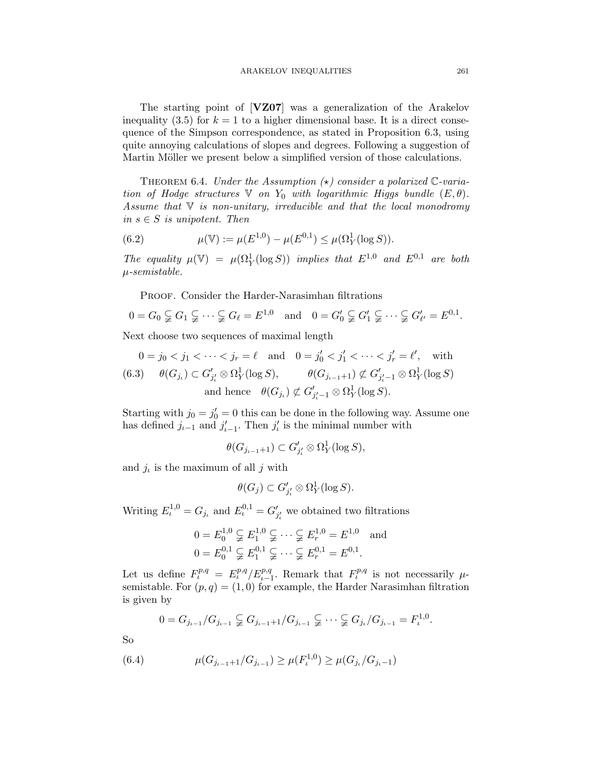The starting point of [**VZ07**] was a generalization of the Arakelov inequality (3.5) for  $k = 1$  to a higher dimensional base. It is a direct consequence of the Simpson correspondence, as stated in Proposition 6.3, using quite annoying calculations of slopes and degrees. Following a suggestion of Martin Möller we present below a simplified version of those calculations.

THEOREM 6.4. Under the Assumption  $(\star)$  consider a polarized C-variation of Hodge structures  $\mathbb V$  on  $Y_0$  with logarithmic Higgs bundle  $(E,\theta)$ . Assume that  $\nabla$  is non-unitary, irreducible and that the local monodromy in  $s \in S$  is unipotent. Then

(6.2) 
$$
\mu(\mathbb{V}) := \mu(E^{1,0}) - \mu(E^{0,1}) \leq \mu(\Omega_Y^1(\log S)).
$$

The equality  $\mu(\mathbb{V}) = \mu(\Omega_Y^1(\log S))$  implies that  $E^{1,0}$  and  $E^{0,1}$  are both μ-semistable.

Proof. Consider the Harder-Narasimhan filtrations

$$
0 = G_0 \subsetneqq G_1 \subsetneqq \cdots \subsetneqq G_\ell = E^{1,0} \quad \text{and} \quad 0 = G'_0 \subsetneqq G'_1 \subsetneqq \cdots \subsetneqq G'_{\ell'} = E^{0,1}.
$$

Next choose two sequences of maximal length

$$
0 = j_0 < j_1 < \cdots < j_r = \ell \quad \text{and} \quad 0 = j'_0 < j'_1 < \cdots < j'_r = \ell', \quad \text{with}
$$
\n
$$
(6.3) \quad \theta(G_{j_\iota}) \subset G'_{j'_\iota} \otimes \Omega^1_Y(\log S), \qquad \theta(G_{j_{\iota-1}+1}) \not\subset G'_{j'_\iota-1} \otimes \Omega^1_Y(\log S)
$$
\n
$$
\text{and hence} \quad \theta(G_{j_\iota}) \not\subset G'_{j'_\iota-1} \otimes \Omega^1_Y(\log S).
$$

Starting with  $j_0 = j'_0 = 0$  this can be done in the following way. Assume one has defined  $j_{\iota-1}$  and  $j_{\iota-1}'$ . Then  $j_{\iota}'$  is the minimal number with

$$
\theta(G_{j_{i-1}+1}) \subset G'_{j'_i} \otimes \Omega^1_Y(\log S),
$$

and  $j_i$  is the maximum of all j with

$$
\theta(G_j) \subset G'_{j'_\iota} \otimes \Omega^1_Y(\log S).
$$

Writing  $E_t^{1,0} = G_{j_t}$  and  $E_t^{0,1} = G'_{j'_t}$  we obtained two filtrations

$$
0 = E_0^{1,0} \subsetneqq E_1^{1,0} \subsetneqq \cdots \subsetneqq E_r^{1,0} = E^{1,0} \text{ and}
$$
  

$$
0 = E_0^{0,1} \subsetneqq E_1^{0,1} \subsetneqq \cdots \subsetneqq E_r^{0,1} = E^{0,1}.
$$

Let us define  $F_{\iota}^{p,q} = E_{\iota}^{p,q}/E_{\iota-1}^{p,q}$ . Remark that  $F_{\iota}^{p,q}$  is not necessarily  $\mu$ semistable. For  $(p, q) = (1, 0)$  for example, the Harder Narasimhan filtration is given by

$$
0 = G_{j_{\iota-1}}/G_{j_{\iota-1}} \subsetneq G_{j_{\iota-1}+1}/G_{j_{\iota-1}} \subsetneq \cdots \subsetneq G_{j_{\iota}}/G_{j_{\iota-1}} = F_{\iota}^{1,0}.
$$

So

(6.4) 
$$
\mu(G_{j_{\iota-1}+1}/G_{j_{\iota-1}}) \ge \mu(F_{\iota}^{1,0}) \ge \mu(G_{j_{\iota}}/G_{j_{\iota}-1})
$$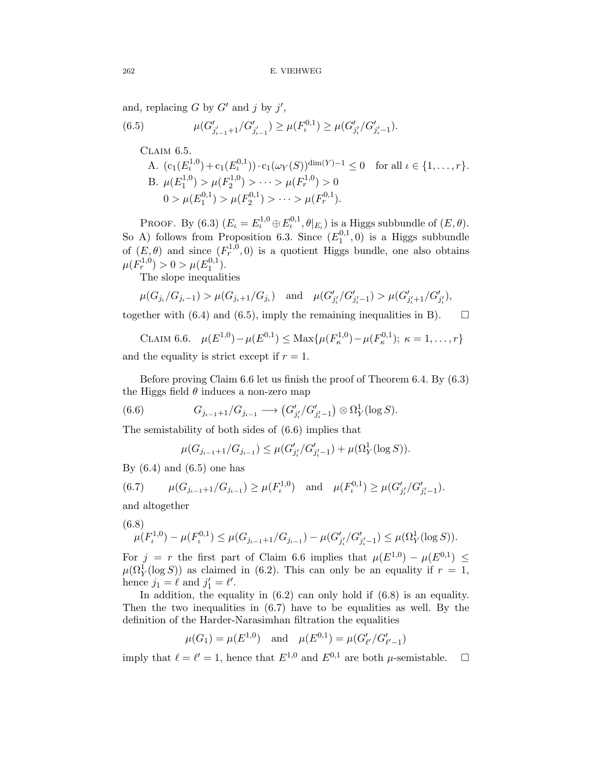and, replacing  $G$  by  $G'$  and  $j$  by  $j'$ ,

(6.5) 
$$
\mu(G'_{j'_{\iota-1}+1}/G'_{j'_{\iota-1}}) \geq \mu(F_{\iota}^{0,1}) \geq \mu(G'_{j'_{\iota}}/G'_{j'_{\iota}-1}).
$$

CLAIM 6.5.  
\nA. 
$$
(c_1(E_t^{1,0}) + c_1(E_t^{0,1})) \cdot c_1(\omega_Y(S))^{\dim(Y)-1} \le 0
$$
 for all  $\iota \in \{1, ..., r\}$ .  
\nB.  $\mu(E_1^{1,0}) > \mu(F_2^{1,0}) > \cdots > \mu(F_r^{1,0}) > 0$   
\n $0 > \mu(E_1^{0,1}) > \mu(F_2^{0,1}) > \cdots > \mu(F_r^{0,1})$ .

PROOF. By (6.3)  $(E_{\iota} = E_{\iota}^{1,0} \oplus E_{\iota}^{0,1}, \theta|_{E_{\iota}})$  is a Higgs subbundle of  $(E, \theta)$ . So A) follows from Proposition 6.3. Since  $(E_1^{0,1},0)$  is a Higgs subbundle of  $(E, \theta)$  and since  $(F_r^{1,0}, 0)$  is a quotient Higgs bundle, one also obtains  $\mu(F_r^{1,0}) > 0 > \mu(E_1^{0,1}).$ 

The slope inequalities

$$
\mu(G_{j_i}/G_{j_i-1}) > \mu(G_{j_i+1}/G_{j_i})
$$
 and  $\mu(G'_{j'_i}/G'_{j'_i-1}) > \mu(G'_{j'_i+1}/G'_{j'_i}),$ 

together with (6.4) and (6.5), imply the remaining inequalities in B).  $\Box$ 

CLAIM 6.6.  $\mu(E^{1,0}) - \mu(E^{0,1}) \leq \text{Max}\{\mu(F_{\kappa}^{1,0}) - \mu(F_{\kappa}^{0,1}); \kappa = 1,\ldots,r\}$ 

and the equality is strict except if  $r = 1$ .

Before proving Claim 6.6 let us finish the proof of Theorem 6.4. By (6.3) the Higgs field  $\theta$  induces a non-zero map

(6.6) 
$$
G_{j_{\iota-1}+1}/G_{j_{\iota-1}} \longrightarrow (G'_{j'_{\iota}}/G'_{j'_{\iota}-1}) \otimes \Omega^1_Y(\log S).
$$

The semistability of both sides of (6.6) implies that

$$
\mu(G_{j_{\iota-1}+1}/G_{j_{\iota-1}}) \leq \mu(G'_{j'_{\iota}}/G'_{j'_{\iota}-1}) + \mu(\Omega^1_Y(\log S)).
$$

By  $(6.4)$  and  $(6.5)$  one has

(6.7) 
$$
\mu(G_{j_{\iota-1}+1}/G_{j_{\iota-1}}) \ge \mu(F_{\iota}^{1,0})
$$
 and  $\mu(F_{\iota}^{0,1}) \ge \mu(G'_{j'_{\iota}}/G'_{j'_{\iota-1}}).$ 

and altogether

$$
(6.8) \mu(F_{\iota}^{1,0}) - \mu(F_{\iota}^{0,1}) \le \mu(G_{j_{\iota-1}+1}/G_{j_{\iota-1}}) - \mu(G'_{j'_{\iota}}/G'_{j'_{\iota}-1}) \le \mu(\Omega^1_Y(\log S)).
$$

For  $j = r$  the first part of Claim 6.6 implies that  $\mu(E^{1,0}) - \mu(E^{0,1}) \leq$  $\mu(\Omega_Y^1(\log S))$  as claimed in (6.2). This can only be an equality if  $r = 1$ , hence  $j_1 = \ell$  and  $j'_1 = \ell'.$ 

In addition, the equality in  $(6.2)$  can only hold if  $(6.8)$  is an equality. Then the two inequalities in (6.7) have to be equalities as well. By the definition of the Harder-Narasimhan filtration the equalities

$$
\mu(G_1) = \mu(E^{1,0})
$$
 and  $\mu(E^{0,1}) = \mu(G'_{\ell'}/G'_{\ell'-1})$ 

imply that  $\ell = \ell' = 1$ , hence that  $E^{1,0}$  and  $E^{0,1}$  are both  $\mu$ -semistable.  $\Box$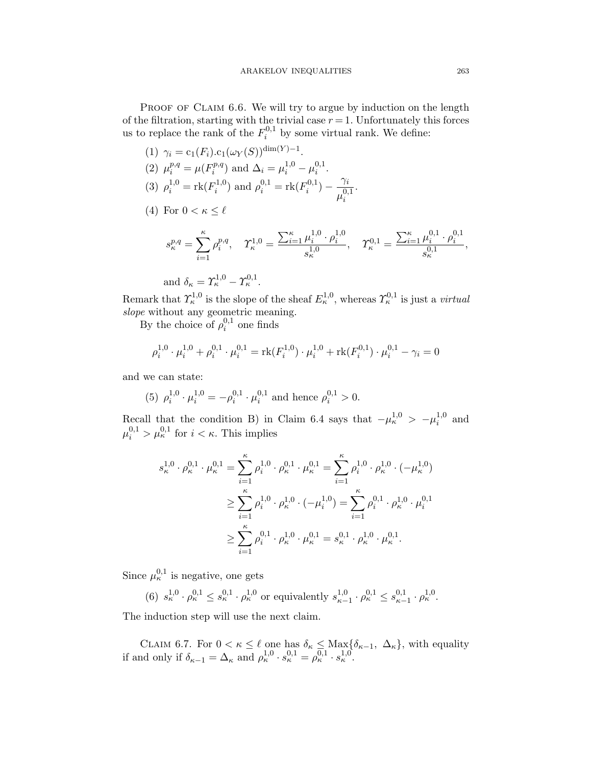PROOF OF CLAIM 6.6. We will try to argue by induction on the length of the filtration, starting with the trivial case  $r = 1$ . Unfortunately this forces us to replace the rank of the  $F_i^{0,1}$  by some virtual rank. We define:

(1) 
$$
\gamma_i = c_1(F_i) . c_1(\omega_Y(S))^{\dim(Y)-1}
$$
.  
\n(2)  $\mu_i^{p,q} = \mu(F_i^{p,q})$  and  $\Delta_i = \mu_i^{1,0} - \mu_i^{0,1}$ .  
\n(3)  $\rho_i^{1,0} = \text{rk}(F_i^{1,0})$  and  $\rho_i^{0,1} = \text{rk}(F_i^{0,1}) - \frac{\gamma_i}{\mu_i^{0,1}}$ .  
\n(4) For  $0 < \kappa \le \ell$ 

$$
s_{\kappa}^{p,q} = \sum_{i=1}^{\kappa} \rho_i^{p,q}, \quad \Upsilon_{\kappa}^{1,0} = \frac{\sum_{i=1}^{\kappa} \mu_i^{1,0} \cdot \rho_i^{1,0}}{s_{\kappa}^{1,0}}, \quad \Upsilon_{\kappa}^{0,1} = \frac{\sum_{i=1}^{\kappa} \mu_i^{0,1} \cdot \rho_i^{0,1}}{s_{\kappa}^{0,1}},
$$

and 
$$
\delta_{\kappa} = \Upsilon_{\kappa}^{1,0} - \Upsilon_{\kappa}^{0,1}
$$
.

Remark that  $\Upsilon^{1,0}_\kappa$  is the slope of the sheaf  $E^{1,0}_\kappa$ , whereas  $\Upsilon^{0,1}_\kappa$  is just a *virtual* slope without any geometric meaning.

By the choice of  $\rho_i^{0,1}$  one finds

$$
\rho_i^{1,0} \cdot \mu_i^{1,0} + \rho_i^{0,1} \cdot \mu_i^{0,1} = \text{rk}(F_i^{1,0}) \cdot \mu_i^{1,0} + \text{rk}(F_i^{0,1}) \cdot \mu_i^{0,1} - \gamma_i = 0
$$

and we can state:

(5) 
$$
\rho_i^{1,0} \cdot \mu_i^{1,0} = -\rho_i^{0,1} \cdot \mu_i^{0,1}
$$
 and hence  $\rho_i^{0,1} > 0$ .

Recall that the condition B) in Claim 6.4 says that  $-\mu_{\kappa}^{1,0} > -\mu_i^{1,0}$  and  $\mu_i^{0,1} > \mu_{\kappa}^{0,1}$  for  $i < \kappa$ . This implies

$$
s_{\kappa}^{1,0} \cdot \rho_{\kappa}^{0,1} \cdot \mu_{\kappa}^{0,1} = \sum_{i=1}^{\kappa} \rho_i^{1,0} \cdot \rho_{\kappa}^{0,1} \cdot \mu_{\kappa}^{0,1} = \sum_{i=1}^{\kappa} \rho_i^{1,0} \cdot \rho_{\kappa}^{1,0} \cdot (-\mu_{\kappa}^{1,0})
$$
  

$$
\geq \sum_{i=1}^{\kappa} \rho_i^{1,0} \cdot \rho_{\kappa}^{1,0} \cdot (-\mu_i^{1,0}) = \sum_{i=1}^{\kappa} \rho_i^{0,1} \cdot \rho_{\kappa}^{1,0} \cdot \mu_i^{0,1}
$$
  

$$
\geq \sum_{i=1}^{\kappa} \rho_i^{0,1} \cdot \rho_{\kappa}^{1,0} \cdot \mu_{\kappa}^{0,1} = s_{\kappa}^{0,1} \cdot \rho_{\kappa}^{1,0} \cdot \mu_{\kappa}^{0,1}.
$$

Since  $\mu_{\kappa}^{0,1}$  is negative, one gets

(6)  $s_{\kappa}^{1,0} \cdot \rho_{\kappa}^{0,1} \leq s_{\kappa}^{0,1} \cdot \rho_{\kappa}^{1,0}$  or equivalently  $s_{\kappa-1}^{1,0} \cdot \rho_{\kappa}^{0,1} \leq s_{\kappa-1}^{0,1} \cdot \rho_{\kappa}^{1,0}$ .

The induction step will use the next claim.

CLAIM 6.7. For  $0 < \kappa \leq \ell$  one has  $\delta_{\kappa} \leq \text{Max}_{\delta_{\kappa-1}}$ ,  $\Delta_{\kappa}$ , with equality if and only if  $\delta_{\kappa-1} = \Delta_{\kappa}$  and  $\rho_{\kappa}^{1,0} \cdot s_{\kappa}^{0,1} = \rho_{\kappa}^{0,1} \cdot s_{\kappa}^{1,0}$ .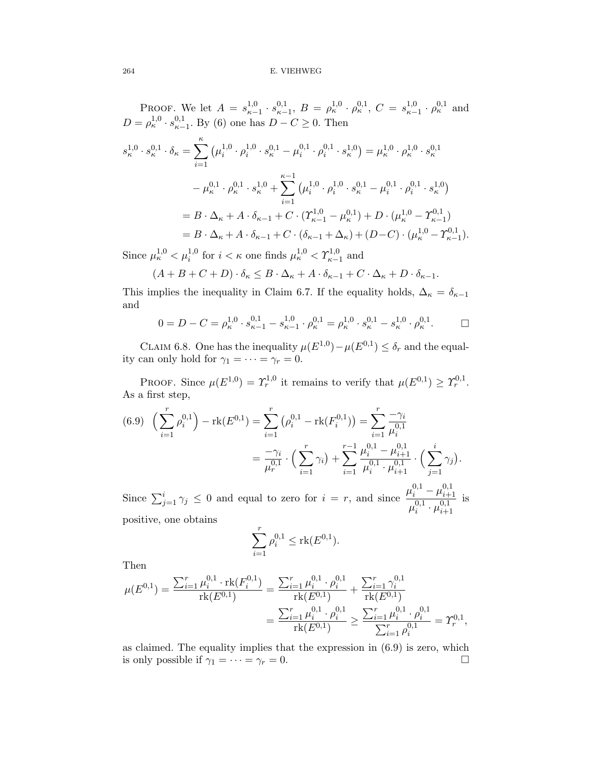PROOF. We let  $A = s_{\kappa-1}^{1,0} \cdot s_{\kappa-1}^{0,1}, B = \rho_{\kappa}^{1,0} \cdot \rho_{\kappa}^{0,1}, C = s_{\kappa-1}^{1,0} \cdot \rho_{\kappa}^{0,1}$  and  $D = \rho_{\kappa}^{1,0} \cdot s_{\kappa-1}^{0,1}$ . By (6) one has  $D - C \ge 0$ . Then

$$
s_{\kappa}^{1,0} \cdot s_{\kappa}^{0,1} \cdot \delta_{\kappa} = \sum_{i=1}^{\kappa} \left( \mu_i^{1,0} \cdot \rho_i^{1,0} \cdot s_{\kappa}^{0,1} - \mu_i^{0,1} \cdot \rho_i^{0,1} \cdot s_{\kappa}^{1,0} \right) = \mu_{\kappa}^{1,0} \cdot \rho_{\kappa}^{1,0} \cdot s_{\kappa}^{0,1} - \mu_{\kappa}^{0,1} \cdot \rho_{\kappa}^{0,1} \cdot s_{\kappa}^{1,0} + \sum_{i=1}^{\kappa-1} \left( \mu_i^{1,0} \cdot \rho_i^{1,0} \cdot s_{\kappa}^{0,1} - \mu_i^{0,1} \cdot \rho_i^{0,1} \cdot s_{\kappa}^{1,0} \right) = B \cdot \Delta_{\kappa} + A \cdot \delta_{\kappa-1} + C \cdot (T_{\kappa-1}^{1,0} - \mu_{\kappa}^{0,1}) + D \cdot (\mu_{\kappa}^{1,0} - T_{\kappa-1}^{0,1}) = B \cdot \Delta_{\kappa} + A \cdot \delta_{\kappa-1} + C \cdot (\delta_{\kappa-1} + \Delta_{\kappa}) + (D - C) \cdot (\mu_{\kappa}^{1,0} - T_{\kappa-1}^{0,1}).
$$

Since  $\mu_k^{1,0} < \mu_i^{1,0}$  for  $i < \kappa$  one finds  $\mu_k^{1,0} < \Upsilon_{\kappa-1}^{1,0}$  and

$$
(A+B+C+D)\cdot \delta_{\kappa} \leq B\cdot \Delta_{\kappa} + A\cdot \delta_{\kappa-1} + C\cdot \Delta_{\kappa} + D\cdot \delta_{\kappa-1}.
$$

This implies the inequality in Claim 6.7. If the equality holds,  $\Delta_{\kappa} = \delta_{\kappa-1}$ and

$$
0 = D - C = \rho_{\kappa}^{1,0} \cdot s_{\kappa-1}^{0,1} - s_{\kappa-1}^{1,0} \cdot \rho_{\kappa}^{0,1} = \rho_{\kappa}^{1,0} \cdot s_{\kappa}^{0,1} - s_{\kappa}^{1,0} \cdot \rho_{\kappa}^{0,1}.
$$

CLAIM 6.8. One has the inequality  $\mu(E^{1,0}) - \mu(E^{0,1}) \leq \delta_r$  and the equality can only hold for  $\gamma_1 = \cdots = \gamma_r = 0$ .

PROOF. Since  $\mu(E^{1,0}) = \Upsilon_r^{1,0}$  it remains to verify that  $\mu(E^{0,1}) \geq \Upsilon_r^{0,1}$ . As a first step,

$$
(6.9) \left(\sum_{i=1}^{r} \rho_i^{0,1}\right) - \text{rk}(E^{0,1}) = \sum_{i=1}^{r} \left(\rho_i^{0,1} - \text{rk}(F_i^{0,1})\right) = \sum_{i=1}^{r} \frac{-\gamma_i}{\mu_i^{0,1}} \\
= \frac{-\gamma_i}{\mu_r^{0,1}} \cdot \left(\sum_{i=1}^{r} \gamma_i\right) + \sum_{i=1}^{r-1} \frac{\mu_i^{0,1} - \mu_{i+1}^{0,1}}{\mu_i^{0,1} \cdot \mu_{i+1}^{0,1}} \cdot \left(\sum_{j=1}^{i} \gamma_j\right).
$$

Since  $\sum_{j=1}^{i} \gamma_j \leq 0$  and equal to zero for  $i = r$ , and since  $\frac{\mu_i^{0,1} - \mu_{i+1}^{0,1}}{0,1}$  $i+1$  $\mu_i^{0,1} \cdot \mu_{i+1}^{0,1}$  $i+1$ is positive, one obtains

$$
\sum_{i=1}^r \rho_i^{0,1} \leq \text{rk}(E^{0,1}).
$$

Then

$$
\mu(E^{0,1}) = \frac{\sum_{i=1}^{r} \mu_i^{0,1} \cdot \text{rk}(F_i^{0,1})}{\text{rk}(E^{0,1})} = \frac{\sum_{i=1}^{r} \mu_i^{0,1} \cdot \rho_i^{0,1}}{\text{rk}(E^{0,1})} + \frac{\sum_{i=1}^{r} \gamma_i^{0,1}}{\text{rk}(E^{0,1})}
$$

$$
= \frac{\sum_{i=1}^{r} \mu_i^{0,1} \cdot \rho_i^{0,1}}{\text{rk}(E^{0,1})} \ge \frac{\sum_{i=1}^{r} \mu_i^{0,1} \cdot \rho_i^{0,1}}{\sum_{i=1}^{r} \rho_i^{0,1}} = \Upsilon_r^{0,1},
$$

as claimed. The equality implies that the expression in (6.9) is zero, which is only possible if  $\gamma_1 = \cdots = \gamma_r = 0$ .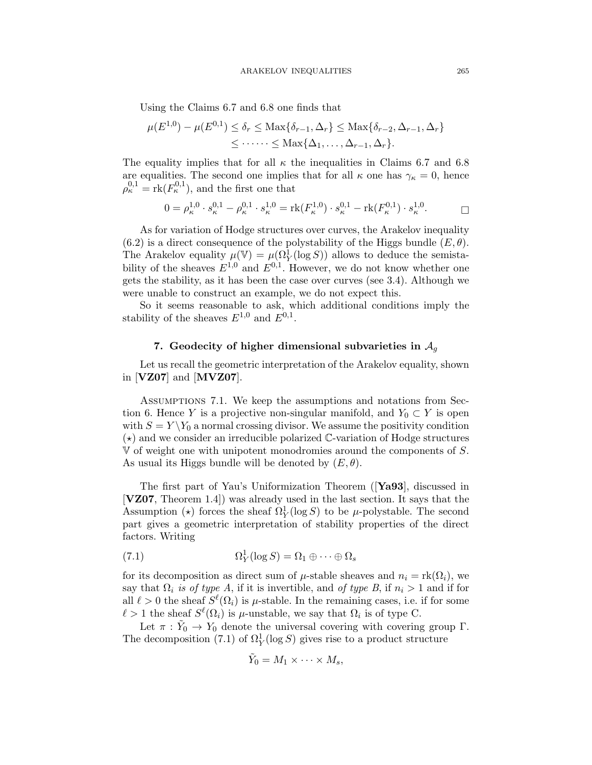Using the Claims 6.7 and 6.8 one finds that

$$
\mu(E^{1,0}) - \mu(E^{0,1}) \le \delta_r \le \text{Max}\{\delta_{r-1}, \Delta_r\} \le \text{Max}\{\delta_{r-2}, \Delta_{r-1}, \Delta_r\}
$$
  

$$
\le \cdots \cdots \le \text{Max}\{\Delta_1, \ldots, \Delta_{r-1}, \Delta_r\}.
$$

The equality implies that for all  $\kappa$  the inequalities in Claims 6.7 and 6.8 are equalities. The second one implies that for all  $\kappa$  one has  $\gamma_{\kappa} = 0$ , hence  $\rho_{\kappa}^{0,1} = \text{rk}(F_{\kappa}^{0,1}),$  and the first one that

$$
0 = \rho_{\kappa}^{1,0} \cdot s_{\kappa}^{0,1} - \rho_{\kappa}^{0,1} \cdot s_{\kappa}^{1,0} = \text{rk}(F_{\kappa}^{1,0}) \cdot s_{\kappa}^{0,1} - \text{rk}(F_{\kappa}^{0,1}) \cdot s_{\kappa}^{1,0}.
$$

As for variation of Hodge structures over curves, the Arakelov inequality  $(6.2)$  is a direct consequence of the polystability of the Higgs bundle  $(E, \theta)$ . The Arakelov equality  $\mu(\mathbb{V}) = \mu(\Omega_Y^1(\log S))$  allows to deduce the semistability of the sheaves  $E^{1,0}$  and  $E^{0,1}$ . However, we do not know whether one gets the stability, as it has been the case over curves (see 3.4). Although we were unable to construct an example, we do not expect this.

So it seems reasonable to ask, which additional conditions imply the stability of the sheaves  $E^{1,0}$  and  $E^{0,1}$ .

# **7.** Geodecity of higher dimensional subvarieties in  $A_q$

Let us recall the geometric interpretation of the Arakelov equality, shown in [**VZ07**] and [**MVZ07**].

Assumptions 7.1. We keep the assumptions and notations from Section 6. Hence Y is a projective non-singular manifold, and  $Y_0 \subset Y$  is open with  $S = Y \ Y_0$  a normal crossing divisor. We assume the positivity condition  $(\star)$  and we consider an irreducible polarized C-variation of Hodge structures V of weight one with unipotent monodromies around the components of S. As usual its Higgs bundle will be denoted by  $(E, \theta)$ .

The first part of Yau's Uniformization Theorem ([**Ya93**], discussed in [**VZ07**, Theorem 1.4]) was already used in the last section. It says that the Assumption ( $\star$ ) forces the sheaf  $\Omega_Y^1(\log S)$  to be  $\mu$ -polystable. The second part gives a geometric interpretation of stability properties of the direct factors. Writing

(7.1) 
$$
\Omega_Y^1(\log S) = \Omega_1 \oplus \cdots \oplus \Omega_s
$$

for its decomposition as direct sum of  $\mu$ -stable sheaves and  $n_i = \text{rk}(\Omega_i)$ , we say that  $\Omega_i$  is of type A, if it is invertible, and of type B, if  $n_i > 1$  and if for all  $\ell > 0$  the sheaf  $S^{\ell}(\Omega_i)$  is  $\mu$ -stable. In the remaining cases, i.e. if for some  $\ell > 1$  the sheaf  $S^{\ell}(\Omega_i)$  is  $\mu$ -unstable, we say that  $\Omega_i$  is of type C.

Let  $\pi : Y_0 \to Y_0$  denote the universal covering with covering group Γ. The decomposition (7.1) of  $\Omega_Y^1(\log S)$  gives rise to a product structure

$$
\tilde{Y}_0 = M_1 \times \cdots \times M_s,
$$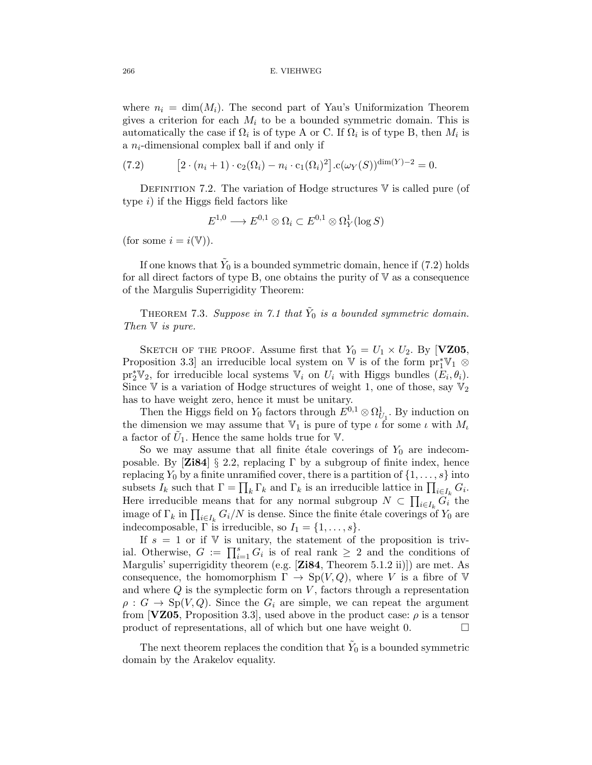where  $n_i = \dim(M_i)$ . The second part of Yau's Uniformization Theorem gives a criterion for each  $M_i$  to be a bounded symmetric domain. This is automatically the case if  $\Omega_i$  is of type A or C. If  $\Omega_i$  is of type B, then  $M_i$  is a  $n_i$ -dimensional complex ball if and only if

(7.2) 
$$
[2 \cdot (n_i + 1) \cdot c_2(\Omega_i) - n_i \cdot c_1(\Omega_i)^2] \cdot c(\omega_Y(S))^{\dim(Y) - 2} = 0.
$$

DEFINITION 7.2. The variation of Hodge structures  $V$  is called pure (of type  $i$ ) if the Higgs field factors like

$$
E^{1,0} \longrightarrow E^{0,1} \otimes \Omega_i \subset E^{0,1} \otimes \Omega_Y^1(\log S)
$$

(for some  $i = i(\mathbb{V})$ ).

If one knows that  $\tilde{Y}_0$  is a bounded symmetric domain, hence if (7.2) holds for all direct factors of type B, one obtains the purity of  $V$  as a consequence of the Margulis Superrigidity Theorem:

THEOREM 7.3. Suppose in 7.1 that  $\tilde{Y}_0$  is a bounded symmetric domain. Then  $V$  is pure.

SKETCH OF THE PROOF. Assume first that  $Y_0 = U_1 \times U_2$ . By [**VZ05**, Proposition 3.3] an irreducible local system on  $\mathbb V$  is of the form  $\mathrm{pr}_1^*\mathbb V_1 \otimes$  $\text{pr}_2^*\mathbb{V}_2$ , for irreducible local systems  $\mathbb{V}_i$  on  $U_i$  with Higgs bundles  $(E_i, \theta_i)$ . Since V is a variation of Hodge structures of weight 1, one of those, say  $\mathbb{V}_2$ has to have weight zero, hence it must be unitary.

Then the Higgs field on  $Y_0$  factors through  $E^{0,1} \otimes \Omega^1_{U_1}$ . By induction on the dimension we may assume that  $\mathbb{V}_1$  is pure of type  $\iota$  for some  $\iota$  with  $M_{\iota}$ a factor of  $U_1$ . Hence the same holds true for  $V$ .

So we may assume that all finite étale coverings of  $Y_0$  are indecomposable. By [**Zi84**] § 2.2, replacing  $\Gamma$  by a subgroup of finite index, hence replacing  $Y_0$  by a finite unramified cover, there is a partition of  $\{1,\ldots,s\}$  into subsets  $I_k$  such that  $\Gamma = \prod_k \Gamma_k$  and  $\Gamma_k$  is an irreducible lattice in  $\prod_{i \in I_k} G_i$ . Here irreducible means that for any normal subgroup  $N \subset \prod_{i \in I_k} G_i$  the image of  $\Gamma_k$  in  $\prod_{i\in I_k} G_i/N$  is dense. Since the finite étale coverings of  $Y_0$  are indecomposable,  $\Gamma$  is irreducible, so  $I_1 = \{1, \ldots, s\}.$ 

If  $s = 1$  or if V is unitary, the statement of the proposition is trivial. Otherwise,  $G := \prod_{i=1}^{s} G_i$  is of real rank  $\geq 2$  and the conditions of Margulis' superrigidity theorem (e.g. [**Zi84**, Theorem 5.1.2 ii)]) are met. As consequence, the homomorphism  $\Gamma \to Sp(V,Q)$ , where V is a fibre of V and where  $Q$  is the symplectic form on  $V$ , factors through a representation  $\rho: G \to \text{Sp}(V,Q)$ . Since the  $G_i$  are simple, we can repeat the argument from [**VZ05**, Proposition 3.3], used above in the product case:  $\rho$  is a tensor product of representations, all of which but one have weight 0.  $\Box$ 

The next theorem replaces the condition that  $Y_0$  is a bounded symmetric domain by the Arakelov equality.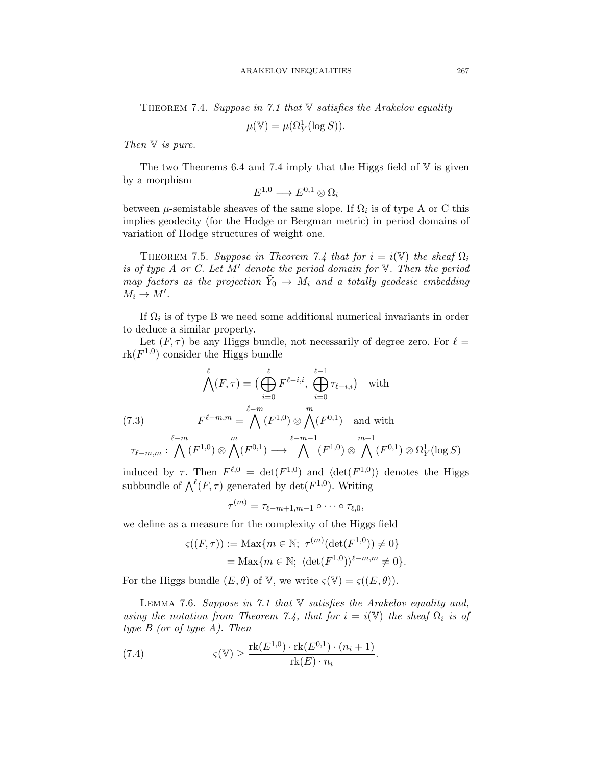THEOREM 7.4. Suppose in 7.1 that  $\nabla$  satisfies the Arakelov equality

$$
\mu(\mathbb{V}) = \mu(\Omega_Y^1(\log S)).
$$

Then  $V$  is pure.

The two Theorems 6.4 and 7.4 imply that the Higgs field of  $V$  is given by a morphism

$$
E^{1,0}\longrightarrow E^{0,1}\otimes \Omega_i
$$

between  $\mu$ -semistable sheaves of the same slope. If  $\Omega_i$  is of type A or C this implies geodecity (for the Hodge or Bergman metric) in period domains of variation of Hodge structures of weight one.

THEOREM 7.5. Suppose in Theorem 7.4 that for  $i = i(\mathbb{V})$  the sheaf  $\Omega_i$ is of type A or C. Let M' denote the period domain for  $V$ . Then the period map factors as the projection  $\tilde{Y}_0 \to M_i$  and a totally geodesic embedding  $M_i \to M'.$ 

If  $\Omega_i$  is of type B we need some additional numerical invariants in order to deduce a similar property.

Let  $(F, \tau)$  be any Higgs bundle, not necessarily of degree zero. For  $\ell =$  $rk(F^{1,0})$  consider the Higgs bundle

$$
\bigwedge^{\ell}(F,\tau) = \big(\bigoplus^{\ell}_{i=0} F^{\ell-i,i}, \bigoplus^{\ell-1}_{i=0} \tau_{\ell-i,i}\big) \quad \text{with}
$$
\n
$$
(7.3) \qquad F^{\ell-m,m} = \bigwedge^{\ell-m} (F^{1,0}) \otimes \bigwedge^m (F^{0,1}) \quad \text{and with}
$$
\n
$$
\tau_{\ell-m,m}: \bigwedge^{\ell-m} (F^{1,0}) \otimes \bigwedge^{\ell} (F^{0,1}) \longrightarrow \bigwedge^{\ell-m-1} (F^{1,0}) \otimes \bigwedge^{\ell} (F^{0,1}) \otimes \Omega^1_Y(\log S)
$$

induced by  $\tau$ . Then  $F^{\ell,0} = \det(F^{1,0})$  and  $\langle \det(F^{1,0}) \rangle$  denotes the Higgs subbundle of  $\bigwedge^{\ell}(F,\tau)$  generated by  $\det(F^{1,0})$ . Writing

$$
\tau^{(m)} = \tau_{\ell-m+1,m-1} \circ \cdots \circ \tau_{\ell,0},
$$

we define as a measure for the complexity of the Higgs field

$$
\begin{aligned} \varsigma((F,\tau)) &:= \text{Max}\{m \in \mathbb{N}; \ \tau^{(m)}(\det(F^{1,0})) \neq 0\} \\ & = \text{Max}\{m \in \mathbb{N}; \ \langle \det(F^{1,0}) \rangle^{\ell-m,m} \neq 0\}. \end{aligned}
$$

For the Higgs bundle  $(E,\theta)$  of V, we write  $\zeta(V) = \zeta((E,\theta)).$ 

LEMMA 7.6. Suppose in 7.1 that  $\mathbb V$  satisfies the Arakelov equality and, using the notation from Theorem 7.4, that for  $i = i(V)$  the sheaf  $\Omega_i$  is of type  $B$  (or of type  $A$ ). Then

(7.4) 
$$
\varsigma(\mathbb{V}) \ge \frac{\text{rk}(E^{1,0}) \cdot \text{rk}(E^{0,1}) \cdot (n_i+1)}{\text{rk}(E) \cdot n_i}.
$$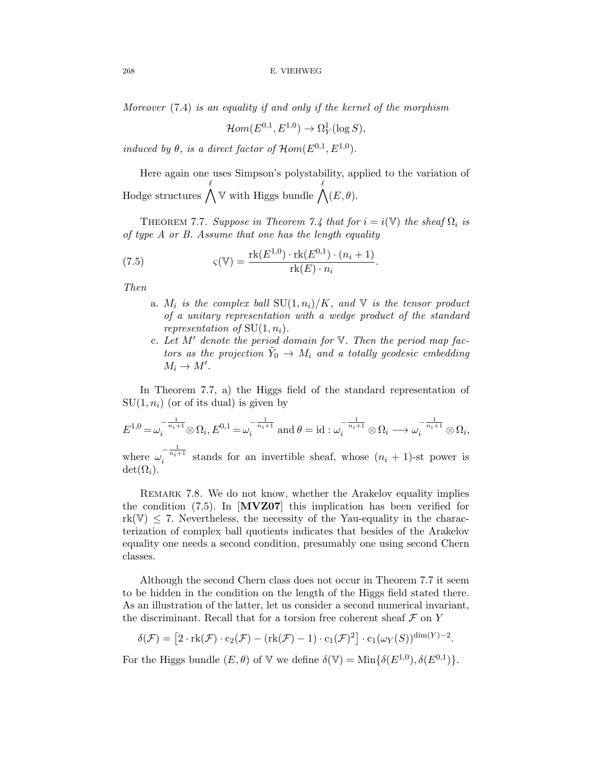Moreover (7.4) is an equality if and only if the kernel of the morphism

$$
\mathcal{H}om(E^{0,1}, E^{1,0}) \to \Omega^1_Y(\log S),
$$

induced by  $\theta$ , is a direct factor of  $\mathcal{H}$ om( $E^{0,1}, E^{1,0}$ ).

Here again one uses Simpson's polystability, applied to the variation of Hodge structures  $\bigwedge$  $\ell$  $\mathbb {V}$  with Higgs bundle  $\bigwedge$  $\ell$  $(E,\theta).$ 

THEOREM 7.7. Suppose in Theorem 7.4 that for  $i = i(\mathbb{V})$  the sheaf  $\Omega_i$  is of type A or B. Assume that one has the length equality

(7.5) 
$$
\varsigma(\mathbb{V}) = \frac{\text{rk}(E^{1,0}) \cdot \text{rk}(E^{0,1}) \cdot (n_i + 1)}{\text{rk}(E) \cdot n_i}.
$$

Then

- a.  $M_i$  is the complex ball  $SU(1, n_i)/K$ , and V is the tensor product of a unitary representation with a wedge product of the standard representation of  $SU(1, n<sub>i</sub>)$ .
- c. Let  $M'$  denote the period domain for  $V$ . Then the period map factors as the projection  $\tilde{Y}_0 \rightarrow M_i$  and a totally geodesic embedding  $M_i \to M'.$

In Theorem 7.7, a) the Higgs field of the standard representation of  $SU(1, n_i)$  (or of its dual) is given by

$$
E^{1,0} = \omega_i^{-\frac{1}{n_i+1}} \otimes \Omega_i, E^{0,1} = \omega_i^{-\frac{1}{n_i+1}} \text{ and } \theta = \text{id} : \omega_i^{-\frac{1}{n_i+1}} \otimes \Omega_i \longrightarrow \omega_i^{-\frac{1}{n_i+1}} \otimes \Omega_i,
$$

where  $\omega_i^{-\frac{1}{n_i+1}}$  stands for an invertible sheaf, whose  $(n_i + 1)$ -st power is  $\det(\Omega_i)$ .

REMARK 7.8. We do not know, whether the Arakelov equality implies the condition (7.5). In [**MVZ07**] this implication has been verified for  $rk(\mathbb{V}) \leq 7$ . Nevertheless, the necessity of the Yau-equality in the characterization of complex ball quotients indicates that besides of the Arakelov equality one needs a second condition, presumably one using second Chern classes.

Although the second Chern class does not occur in Theorem 7.7 it seem to be hidden in the condition on the length of the Higgs field stated there. As an illustration of the latter, let us consider a second numerical invariant, the discriminant. Recall that for a torsion free coherent sheaf  $\mathcal F$  on  $Y$ 

$$
\delta(\mathcal{F}) = \left[2 \cdot \mathrm{rk}(\mathcal{F}) \cdot c_2(\mathcal{F}) - (\mathrm{rk}(\mathcal{F}) - 1) \cdot c_1(\mathcal{F})^2\right] \cdot c_1(\omega_Y(S))^{\dim(Y) - 2}.
$$

For the Higgs bundle  $(E, \theta)$  of V we define  $\delta(\mathbb{V}) = \text{Min}\{\delta(E^{1,0}), \delta(E^{0,1})\}.$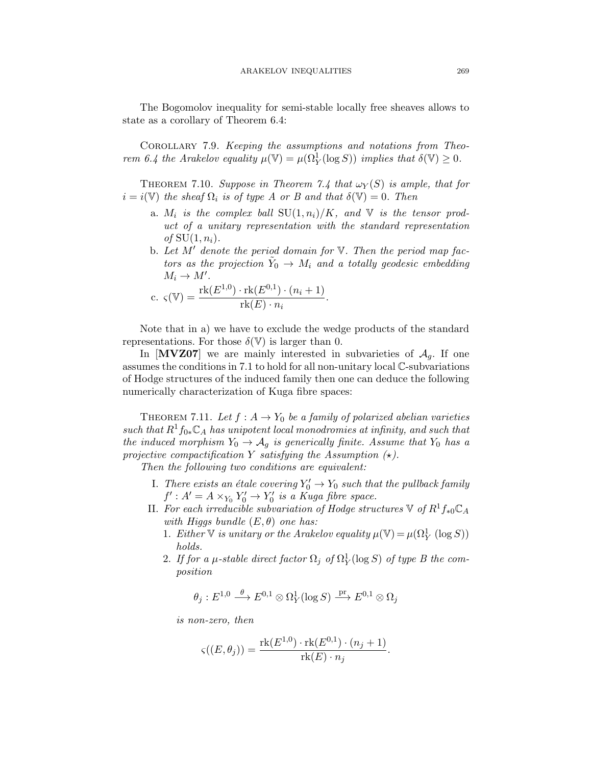The Bogomolov inequality for semi-stable locally free sheaves allows to state as a corollary of Theorem 6.4:

COROLLARY 7.9. Keeping the assumptions and notations from Theorem 6.4 the Arakelov equality  $\mu(\mathbb{V}) = \mu(\Omega^1_Y(\log S))$  implies that  $\delta(\mathbb{V}) \geq 0$ .

THEOREM 7.10. Suppose in Theorem 7.4 that  $\omega_Y(S)$  is ample, that for  $i = i(\mathbb{V})$  the sheaf  $\Omega_i$  is of type A or B and that  $\delta(\mathbb{V})=0$ . Then

- a.  $M_i$  is the complex ball  $SU(1, n_i)/K$ , and V is the tensor product of a unitary representation with the standard representation of  $SU(1, n_i)$ .
- b. Let  $M'$  denote the period domain for  $V$ . Then the period map factors as the projection  $Y_0 \rightarrow M_i$  and a totally geodesic embedding  $M_i \to M'.$

c. 
$$
\varsigma(\mathbb{V}) = \frac{\text{rk}(E^{1,0}) \cdot \text{rk}(E^{0,1}) \cdot (n_i+1)}{\text{rk}(E) \cdot n_i}.
$$

Note that in a) we have to exclude the wedge products of the standard representations. For those  $\delta(\mathbb{V})$  is larger than 0.

In  $[MVZ07]$  we are mainly interested in subvarieties of  $A<sub>g</sub>$ . If one assumes the conditions in 7.1 to hold for all non-unitary local C-subvariations of Hodge structures of the induced family then one can deduce the following numerically characterization of Kuga fibre spaces:

THEOREM 7.11. Let  $f : A \rightarrow Y_0$  be a family of polarized abelian varieties such that  $R^1f_{0*}\mathbb{C}_A$  has unipotent local monodromies at infinity, and such that the induced morphism  $Y_0 \rightarrow A_q$  is generically finite. Assume that  $Y_0$  has a projective compactification Y satisfying the Assumption  $(\star)$ .

Then the following two conditions are equivalent:

- I. There exists an étale covering  $Y_0' \to Y_0$  such that the pullback family  $f' : A' = A \times_{Y_0} Y'_0 \to Y'_0$  is a Kuga fibre space.
- II. For each irreducible subvariation of Hodge structures  $\mathbb{V}$  of  $R^1f_{*0}\mathbb{C}_A$ with Higgs bundle  $(E, \theta)$  one has:
	- 1. Either  $\mathbb {V}$  is unitary or the Arakelov equality  $\mu(\mathbb {V}) = \mu(\Omega^1_Y(\log S))$ holds.
	- 2. If for a  $\mu$ -stable direct factor  $\Omega_j$  of  $\Omega_Y^1(\log S)$  of type B the composition

$$
\theta_j:E^{1,0}\stackrel{\theta}{\longrightarrow} E^{0,1}\otimes \Omega^1_Y(\log S)\stackrel{\text{pr}}{\longrightarrow} E^{0,1}\otimes \Omega_j
$$

is non-zero, then

$$
\varsigma((E,\theta_j)) = \frac{\operatorname{rk}(E^{1,0}) \cdot \operatorname{rk}(E^{0,1}) \cdot (n_j+1)}{\operatorname{rk}(E) \cdot n_j}.
$$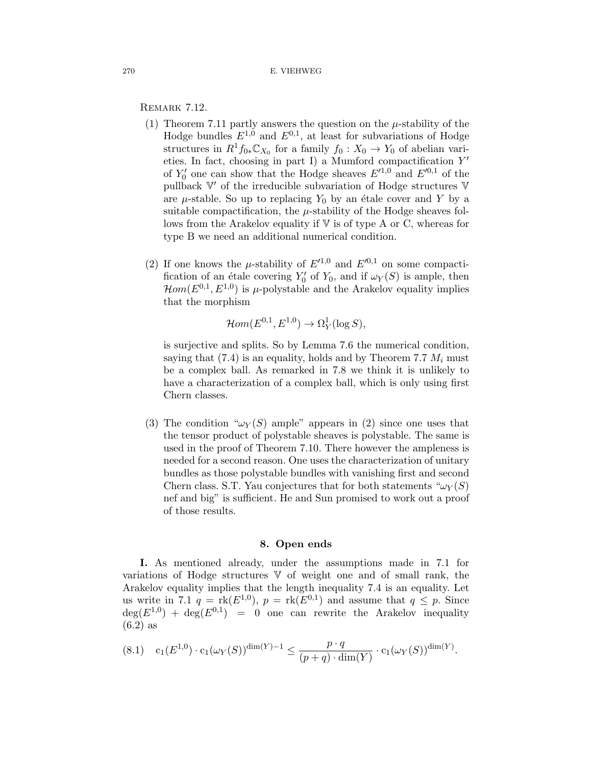REMARK 7.12.

- (1) Theorem 7.11 partly answers the question on the  $\mu$ -stability of the Hodge bundles  $E^{1,0}$  and  $E^{0,1}$ , at least for subvariations of Hodge structures in  $R^1f_{0*}\mathbb{C}_{X_0}$  for a family  $f_0: X_0 \to Y_0$  of abelian varieties. In fact, choosing in part I) a Mumford compactification  $Y'$ of  $Y'_0$  one can show that the Hodge sheaves  $E'^{1,0}$  and  $E'^{0,1}$  of the pullback  $\mathbb{V}'$  of the irreducible subvariation of Hodge structures  $\mathbb {V}$ are  $\mu$ -stable. So up to replacing  $Y_0$  by an étale cover and Y by a suitable compactification, the  $\mu$ -stability of the Hodge sheaves follows from the Arakelov equality if  $V$  is of type A or C, whereas for type B we need an additional numerical condition.
- (2) If one knows the  $\mu$ -stability of  $E'^{1,0}$  and  $E'^{0,1}$  on some compactification of an étale covering  $Y'_0$  of  $Y_0$ , and if  $\omega_Y(S)$  is ample, then  $\mathcal{H}om(E^{0,1}, E^{1,0})$  is  $\mu$ -polystable and the Arakelov equality implies that the morphism

$$
\mathcal{H}om(E^{0,1}, E^{1,0}) \to \Omega_Y^1(\log S),
$$

is surjective and splits. So by Lemma 7.6 the numerical condition, saying that  $(7.4)$  is an equality, holds and by Theorem 7.7  $M_i$  must be a complex ball. As remarked in 7.8 we think it is unlikely to have a characterization of a complex ball, which is only using first Chern classes.

(3) The condition " $\omega_Y(S)$  ample" appears in (2) since one uses that the tensor product of polystable sheaves is polystable. The same is used in the proof of Theorem 7.10. There however the ampleness is needed for a second reason. One uses the characterization of unitary bundles as those polystable bundles with vanishing first and second Chern class. S.T. Yau conjectures that for both statements  $\omega_Y(S)$ nef and big" is sufficient. He and Sun promised to work out a proof of those results.

# **8. Open ends**

**I.** As mentioned already, under the assumptions made in 7.1 for variations of Hodge structures V of weight one and of small rank, the Arakelov equality implies that the length inequality 7.4 is an equality. Let us write in 7.1  $q = \text{rk}(E^{1,0}), p = \text{rk}(E^{0,1})$  and assume that  $q \leq p$ . Since  $deg(E^{1,0}) + deg(E^{0,1}) = 0$  one can rewrite the Arakelov inequality  $(6.2)$  as

$$
(8.1) \quad \mathbf{c}_1(E^{1,0}) \cdot \mathbf{c}_1(\omega_Y(S))^{\dim(Y)-1} \le \frac{p \cdot q}{(p+q) \cdot \dim(Y)} \cdot \mathbf{c}_1(\omega_Y(S))^{\dim(Y)}.
$$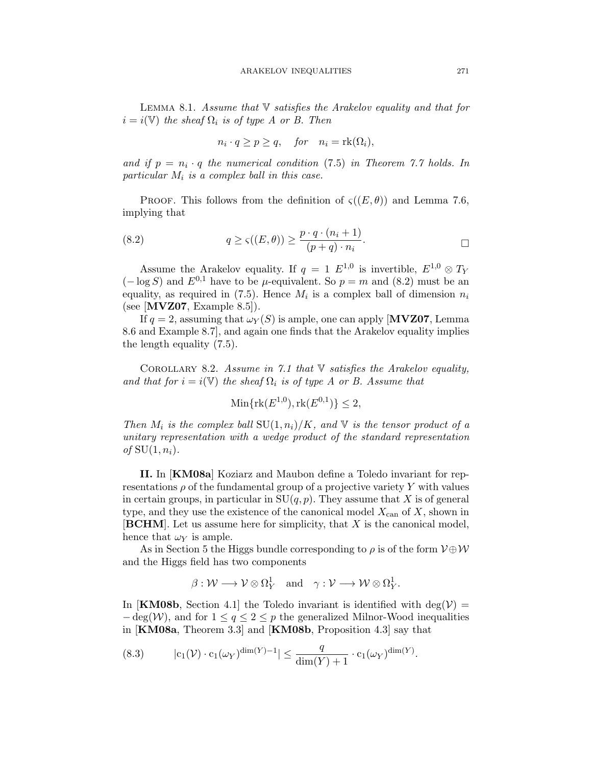LEMMA 8.1. Assume that  $\nabla$  satisfies the Arakelov equality and that for  $i = i(\mathbb{V})$  the sheaf  $\Omega_i$  is of type A or B. Then

$$
n_i \cdot q \ge p \ge q, \quad \text{for} \quad n_i = \text{rk}(\Omega_i),
$$

and if  $p = n_i \cdot q$  the numerical condition (7.5) in Theorem 7.7 holds. In particular  $M_i$  is a complex ball in this case.

PROOF. This follows from the definition of  $\varsigma((E,\theta))$  and Lemma 7.6, implying that

(8.2) 
$$
q \ge \varsigma((E,\theta)) \ge \frac{p \cdot q \cdot (n_i+1)}{(p+q) \cdot n_i}.
$$

Assume the Arakelov equality. If  $q = 1 E^{1,0}$  is invertible,  $E^{1,0} \otimes T_Y$  $(-\log S)$  and  $E^{0,1}$  have to be  $\mu$ -equivalent. So  $p = m$  and  $(8.2)$  must be an equality, as required in (7.5). Hence  $M_i$  is a complex ball of dimension  $n_i$ (see [**MVZ07**, Example 8.5]).

If  $q = 2$ , assuming that  $\omega_Y(S)$  is ample, one can apply [**MVZ07**, Lemma 8.6 and Example 8.7], and again one finds that the Arakelov equality implies the length equality (7.5).

COROLLARY 8.2. Assume in 7.1 that  $\mathbb V$  satisfies the Arakelov equality, and that for  $i = i(\mathbb{V})$  the sheaf  $\Omega_i$  is of type A or B. Assume that

$$
\text{Min}\{\text{rk}(E^{1,0}), \text{rk}(E^{0,1})\} \le 2,
$$

Then  $M_i$  is the complex ball  $SU(1,n_i)/K$ , and V is the tensor product of a unitary representation with a wedge product of the standard representation of  $SU(1, n_i)$ .

**II.** In [**KM08a**] Koziarz and Maubon define a Toledo invariant for representations  $\rho$  of the fundamental group of a projective variety Y with values in certain groups, in particular in  $SU(q, p)$ . They assume that X is of general type, and they use the existence of the canonical model  $X_{\text{can}}$  of X, shown in [**BCHM**]. Let us assume here for simplicity, that X is the canonical model, hence that  $\omega_Y$  is ample.

As in Section 5 the Higgs bundle corresponding to  $\rho$  is of the form  $V \oplus W$ and the Higgs field has two components

$$
\beta: \mathcal{W} \longrightarrow \mathcal{V} \otimes \Omega_Y^1 \quad \text{and} \quad \gamma: \mathcal{V} \longrightarrow \mathcal{W} \otimes \Omega_Y^1.
$$

In [**KM08b**, Section 4.1] the Toledo invariant is identified with deg( $V$ ) =  $-\deg(W)$ , and for  $1 \leq q \leq 2 \leq p$  the generalized Milnor-Wood inequalities in [**KM08a**, Theorem 3.3] and [**KM08b**, Proposition 4.3] say that

(8.3) 
$$
|c_1(\mathcal{V}) \cdot c_1(\omega_Y)^{\dim(Y)-1}| \leq \frac{q}{\dim(Y)+1} \cdot c_1(\omega_Y)^{\dim(Y)}.
$$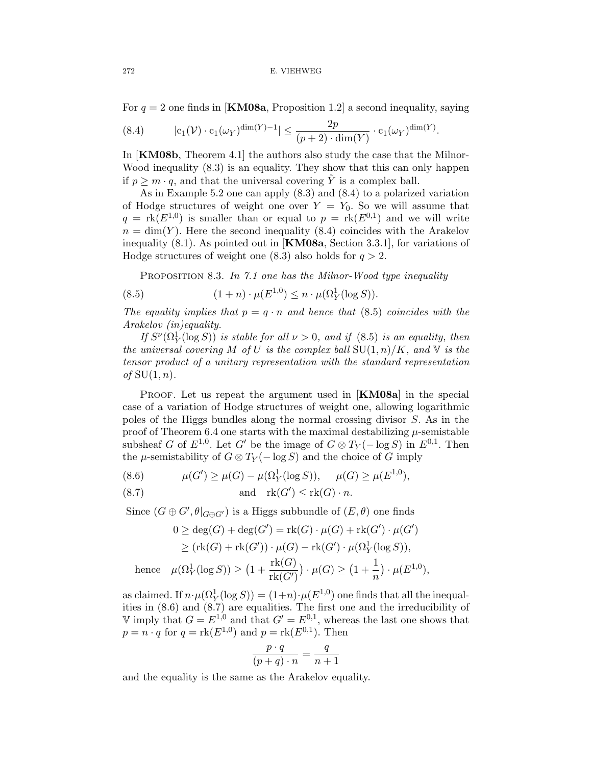For  $q = 2$  one finds in **[KM08a**, Proposition 1.2] a second inequality, saying

(8.4) 
$$
|c_1(\mathcal{V}) \cdot c_1(\omega_Y)^{\dim(Y)-1}| \leq \frac{2p}{(p+2) \cdot \dim(Y)} \cdot c_1(\omega_Y)^{\dim(Y)}.
$$

In [**KM08b**, Theorem 4.1] the authors also study the case that the Milnor-Wood inequality (8.3) is an equality. They show that this can only happen if  $p \geq m \cdot q$ , and that the universal covering  $\tilde{Y}$  is a complex ball.

As in Example 5.2 one can apply (8.3) and (8.4) to a polarized variation of Hodge structures of weight one over  $Y = Y_0$ . So we will assume that  $q = \text{rk}(E^{1,0})$  is smaller than or equal to  $p = \text{rk}(E^{0,1})$  and we will write  $n = \dim(Y)$ . Here the second inequality (8.4) coincides with the Arakelov inequality (8.1). As pointed out in [**KM08a**, Section 3.3.1], for variations of Hodge structures of weight one  $(8.3)$  also holds for  $q > 2$ .

PROPOSITION 8.3. In 7.1 one has the Milnor-Wood type inequality

(8.5) 
$$
(1+n) \cdot \mu(E^{1,0}) \leq n \cdot \mu(\Omega_Y^1(\log S)).
$$

The equality implies that  $p = q \cdot n$  and hence that (8.5) coincides with the Arakelov (in)equality.

If  $S^{\nu}(\Omega_Y^1(\log S))$  is stable for all  $\nu > 0$ , and if (8.5) is an equality, then the universal covering M of U is the complex ball  $SU(1, n)/K$ , and V is the tensor product of a unitary representation with the standard representation of  $SU(1, n)$ .

Proof. Let us repeat the argument used in [**KM08a**] in the special case of a variation of Hodge structures of weight one, allowing logarithmic poles of the Higgs bundles along the normal crossing divisor S. As in the proof of Theorem 6.4 one starts with the maximal destabilizing  $\mu$ -semistable subsheaf G of  $E^{1,0}$ . Let G' be the image of  $G \otimes T_Y(-\log S)$  in  $E^{0,1}$ . Then the  $\mu$ -semistability of  $G \otimes T_Y(-\log S)$  and the choice of G imply

(8.6) 
$$
\mu(G') \ge \mu(G) - \mu(\Omega_Y^1(\log S)), \quad \mu(G) \ge \mu(E^{1,0}),
$$

(8.7) and 
$$
rk(G') \leq rk(G) \cdot n
$$
.

Since  $(G \oplus G', \theta|_{G \oplus G'})$  is a Higgs subbundle of  $(E, \theta)$  one finds

$$
0 \ge \deg(G) + \deg(G') = \text{rk}(G) \cdot \mu(G) + \text{rk}(G') \cdot \mu(G')
$$
  
\n
$$
\ge (\text{rk}(G) + \text{rk}(G')) \cdot \mu(G) - \text{rk}(G') \cdot \mu(\Omega_Y^1(\log S)),
$$
  
\nhence  $\mu(\Omega_Y^1(\log S)) \ge (1 + \frac{\text{rk}(G)}{\text{rk}(G')}) \cdot \mu(G) \ge (1 + \frac{1}{n}) \cdot \mu(E^{1,0}),$ 

as claimed. If  $n \cdot \mu(\Omega_Y^1(\log S)) = (1+n) \cdot \mu(E^{1,0})$  one finds that all the inequalities in (8.6) and (8.7) are equalities. The first one and the irreducibility of V imply that  $G = E^{1,0}$  and that  $G' = E^{0,1}$ , whereas the last one shows that  $p = n \cdot q$  for  $q = \text{rk}(E^{1,0})$  and  $p = \text{rk}(E^{0,1})$ . Then

$$
\frac{p \cdot q}{(p+q) \cdot n} = \frac{q}{n+1}
$$

and the equality is the same as the Arakelov equality.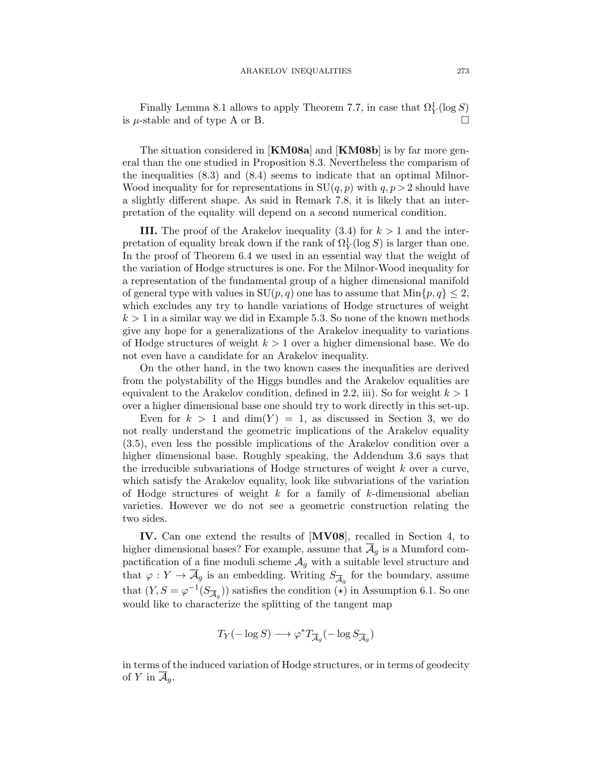Finally Lemma 8.1 allows to apply Theorem 7.7, in case that  $\Omega_Y^1(\log S)$ is  $\mu$ -stable and of type A or B.

The situation considered in [**KM08a**] and [**KM08b**] is by far more general than the one studied in Proposition 8.3. Nevertheless the comparism of the inequalities (8.3) and (8.4) seems to indicate that an optimal Milnor-Wood inequality for for representations in  $SU(q, p)$  with  $q, p> 2$  should have a slightly different shape. As said in Remark 7.8, it is likely that an interpretation of the equality will depend on a second numerical condition.

**III.** The proof of the Arakelov inequality  $(3.4)$  for  $k > 1$  and the interpretation of equality break down if the rank of  $\Omega_Y^1(\log S)$  is larger than one. In the proof of Theorem 6.4 we used in an essential way that the weight of the variation of Hodge structures is one. For the Milnor-Wood inequality for a representation of the fundamental group of a higher dimensional manifold of general type with values in  $SU(p, q)$  one has to assume that  $Min\{p, q\} \leq 2$ , which excludes any try to handle variations of Hodge structures of weight  $k > 1$  in a similar way we did in Example 5.3. So none of the known methods give any hope for a generalizations of the Arakelov inequality to variations of Hodge structures of weight  $k > 1$  over a higher dimensional base. We do not even have a candidate for an Arakelov inequality.

On the other hand, in the two known cases the inequalities are derived from the polystability of the Higgs bundles and the Arakelov equalities are equivalent to the Arakelov condition, defined in 2.2, iii). So for weight  $k > 1$ over a higher dimensional base one should try to work directly in this set-up.

Even for  $k > 1$  and  $\dim(Y) = 1$ , as discussed in Section 3, we do not really understand the geometric implications of the Arakelov equality (3.5), even less the possible implications of the Arakelov condition over a higher dimensional base. Roughly speaking, the Addendum 3.6 says that the irreducible subvariations of Hodge structures of weight  $k$  over a curve, which satisfy the Arakelov equality, look like subvariations of the variation of Hodge structures of weight  $k$  for a family of  $k$ -dimensional abelian varieties. However we do not see a geometric construction relating the two sides.

**IV.** Can one extend the results of [**MV08**], recalled in Section 4, to higher dimensional bases? For example, assume that  $\overline{\mathcal{A}}_g$  is a Mumford compactification of a fine moduli scheme  $\mathcal{A}_g$  with a suitable level structure and that  $\varphi: Y \to \overline{\mathcal{A}}_g$  is an embedding. Writing  $S_{\overline{\mathcal{A}}_g}$  for the boundary, assume that  $(Y, S = \varphi^{-1}(S_{\overline{A}_q}))$  satisfies the condition  $(\star)$  in Assumption 6.1. So one would like to characterize the splitting of the tangent map

$$
T_Y(-\log S) \longrightarrow \varphi^* T_{\overline{\mathcal{A}}_g}(-\log S_{\overline{\mathcal{A}}_g})
$$

in terms of the induced variation of Hodge structures, or in terms of geodecity of Y in  $\overline{\mathcal{A}}_q$ .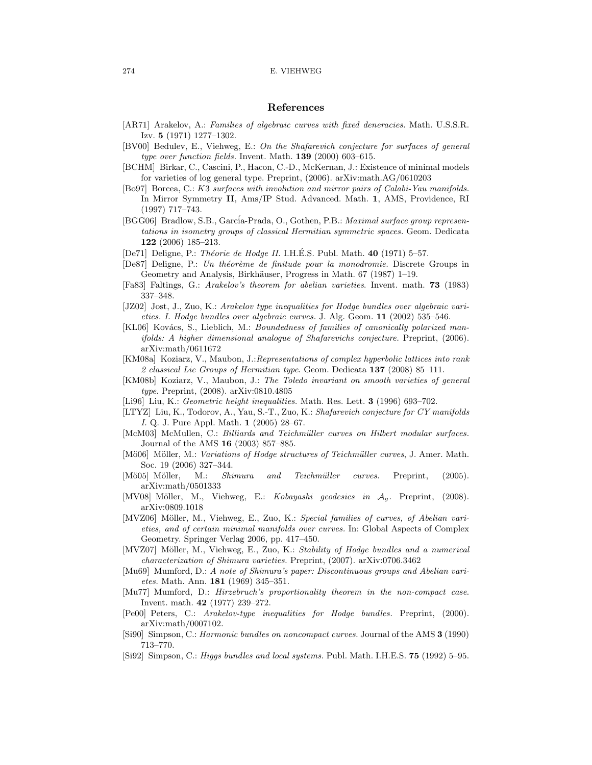#### 274 E. VIEHWEG

### **References**

- [AR71] Arakelov, A.: Families of algebraic curves with fixed deneracies. Math. U.S.S.R. Izv. **5** (1971) 1277–1302.
- [BV00] Bedulev, E., Viehweg, E.: On the Shafarevich conjecture for surfaces of general type over function fields. Invent. Math. **139** (2000) 603–615.
- [BCHM] Birkar, C., Cascini, P., Hacon, C.-D., McKernan, J.: Existence of minimal models for varieties of log general type. Preprint, (2006). arXiv:math.AG/0610203
- [Bo97] Borcea, C.: K3 surfaces with involution and mirror pairs of Calabi-Yau manifolds. In Mirror Symmetry **II**, Ams/IP Stud. Advanced. Math. **1**, AMS, Providence, RI (1997) 717–743.

[BGG06] Bradlow, S.B., García-Prada, O., Gothen, P.B.: Maximal surface group representations in isometry groups of classical Hermitian symmetric spaces. Geom. Dedicata **122** (2006) 185–213.

- [De71] Deligne, P.: *Théorie de Hodge II.* I.H.É.S. Publ. Math. **40** (1971) 5–57.
- [De87] Deligne, P.: Un théorème de finitude pour la monodromie. Discrete Groups in Geometry and Analysis, Birkhäuser, Progress in Math. 67 (1987) 1–19.
- [Fa83] Faltings, G.: Arakelov's theorem for abelian varieties. Invent. math. **73** (1983) 337–348.
- [JZ02] Jost, J., Zuo, K.: Arakelov type inequalities for Hodge bundles over algebraic varieties. I. Hodge bundles over algebraic curves. J. Alg. Geom. **11** (2002) 535–546.
- [KL06] Kovács, S., Lieblich, M.: Boundedness of families of canonically polarized manifolds: A higher dimensional analogue of Shafarevichs conjecture. Preprint, (2006). arXiv:math/0611672
- [KM08a] Koziarz, V., Maubon, J.:Representations of complex hyperbolic lattices into rank 2 classical Lie Groups of Hermitian type. Geom. Dedicata **137** (2008) 85–111.
- [KM08b] Koziarz, V., Maubon, J.: The Toledo invariant on smooth varieties of general type. Preprint, (2008). arXiv:0810.4805
- [Li96] Liu, K.: Geometric height inequalities. Math. Res. Lett. **3** (1996) 693–702.
- [LTYZ] Liu, K., Todorov, A., Yau, S.-T., Zuo, K.: Shafarevich conjecture for CY manifolds I. Q. J. Pure Appl. Math. **1** (2005) 28–67.
- [McM03] McMullen, C.: Billiards and Teichmüller curves on Hilbert modular surfaces. Journal of the AMS **16** (2003) 857–885.
- [Mö06] Möller, M.: *Variations of Hodge structures of Teichmüller curves*, J. Amer. Math. Soc. 19 (2006) 327–344.
- [Mö05] Möller, M.: Shimura and Teichmüller curves. Preprint, (2005). arXiv:math/0501333
- [MV08] Möller, M., Viehweg, E.: Kobayashi geodesics in  $A<sub>q</sub>$ . Preprint, (2008). arXiv:0809.1018
- [MVZ06] Möller, M., Viehweg, E., Zuo, K.: Special families of curves, of Abelian varieties, and of certain minimal manifolds over curves. In: Global Aspects of Complex Geometry. Springer Verlag 2006, pp. 417–450.
- [MVZ07] Möller, M., Viehweg, E., Zuo, K.: Stability of Hodge bundles and a numerical characterization of Shimura varieties. Preprint, (2007). arXiv:0706.3462
- [Mu69] Mumford, D.: A note of Shimura's paper: Discontinuous groups and Abelian varietes. Math. Ann. **181** (1969) 345–351.
- [Mu77] Mumford, D.: Hirzebruch's proportionality theorem in the non-compact case. Invent. math. **42** (1977) 239–272.
- [Pe00] Peters, C.: Arakelov-type inequalities for Hodge bundles. Preprint, (2000). arXiv:math/0007102.
- [Si90] Simpson, C.: Harmonic bundles on noncompact curves. Journal of the AMS **3** (1990) 713–770.
- [Si92] Simpson, C.: Higgs bundles and local systems. Publ. Math. I.H.E.S. **75** (1992) 5–95.